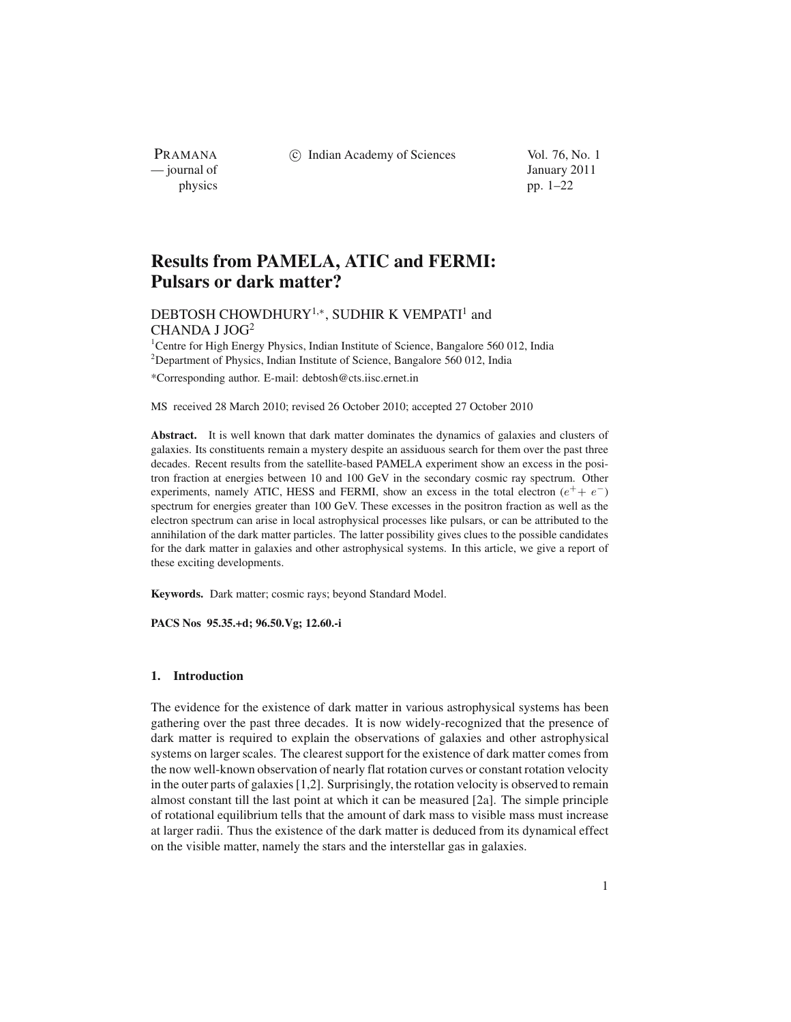PRAMANA<br>
— journal of

(c) Indian Academy of Sciences Vol. 76, No. 1

January 2011 physics pp. 1–22

# **Results from PAMELA, ATIC and FERMI: Pulsars or dark matter?**

# DEBTOSH CHOWDHURY<sup>1,\*</sup>, SUDHIR K VEMPATI<sup>1</sup> and CHANDA J JOG<sup>2</sup>

<sup>1</sup>Centre for High Energy Physics, Indian Institute of Science, Bangalore 560 012, India <sup>2</sup>Department of Physics, Indian Institute of Science, Bangalore 560 012, India \*Corresponding author. E-mail: debtosh@cts.iisc.ernet.in

MS received 28 March 2010; revised 26 October 2010; accepted 27 October 2010

**Abstract.** It is well known that dark matter dominates the dynamics of galaxies and clusters of galaxies. Its constituents remain a mystery despite an assiduous search for them over the past three decades. Recent results from the satellite-based PAMELA experiment show an excess in the positron fraction at energies between 10 and 100 GeV in the secondary cosmic ray spectrum. Other experiments, namely ATIC, HESS and FERMI, show an excess in the total electron  $(e^+ + e^-)$ spectrum for energies greater than 100 GeV. These excesses in the positron fraction as well as the electron spectrum can arise in local astrophysical processes like pulsars, or can be attributed to the annihilation of the dark matter particles. The latter possibility gives clues to the possible candidates for the dark matter in galaxies and other astrophysical systems. In this article, we give a report of these exciting developments.

**Keywords.** Dark matter; cosmic rays; beyond Standard Model.

**PACS Nos 95.35.+d; 96.50.Vg; 12.60.-i**

# **1. Introduction**

The evidence for the existence of dark matter in various astrophysical systems has been gathering over the past three decades. It is now widely-recognized that the presence of dark matter is required to explain the observations of galaxies and other astrophysical systems on larger scales. The clearest support for the existence of dark matter comes from the now well-known observation of nearly flat rotation curves or constant rotation velocity in the outer parts of galaxies [1,2]. Surprisingly, the rotation velocity is observed to remain almost constant till the last point at which it can be measured [2a]. The simple principle of rotational equilibrium tells that the amount of dark mass to visible mass must increase at larger radii. Thus the existence of the dark matter is deduced from its dynamical effect on the visible matter, namely the stars and the interstellar gas in galaxies.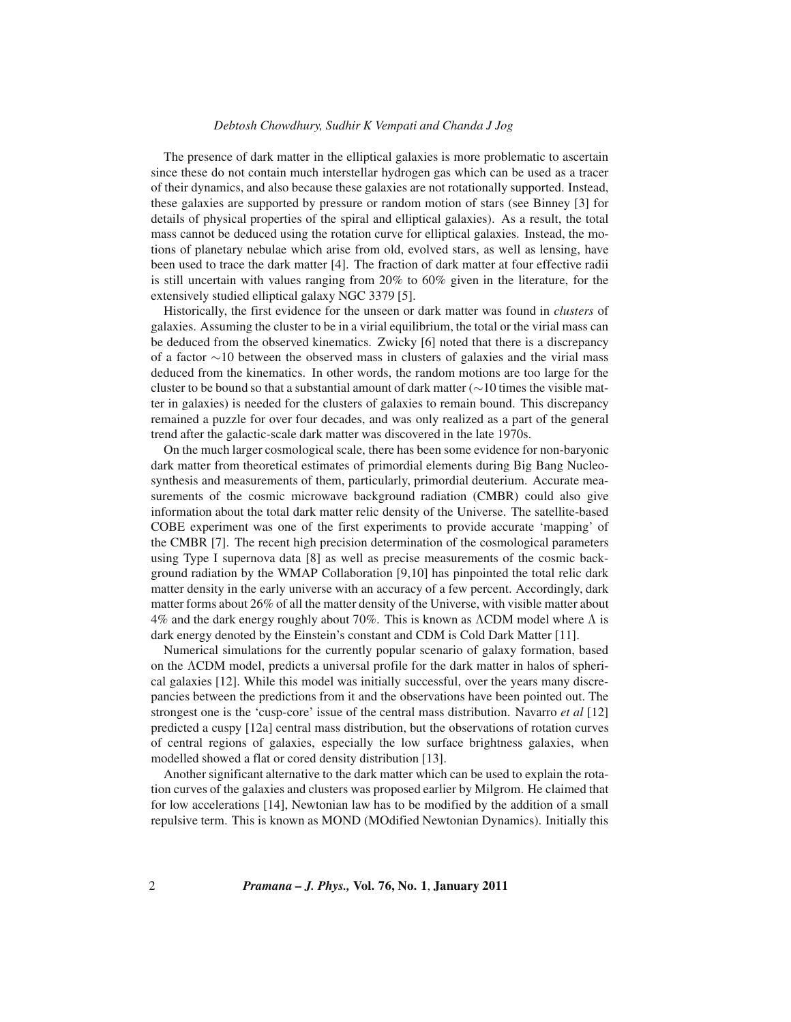The presence of dark matter in the elliptical galaxies is more problematic to ascertain since these do not contain much interstellar hydrogen gas which can be used as a tracer of their dynamics, and also because these galaxies are not rotationally supported. Instead, these galaxies are supported by pressure or random motion of stars (see Binney [3] for details of physical properties of the spiral and elliptical galaxies). As a result, the total mass cannot be deduced using the rotation curve for elliptical galaxies. Instead, the motions of planetary nebulae which arise from old, evolved stars, as well as lensing, have been used to trace the dark matter [4]. The fraction of dark matter at four effective radii is still uncertain with values ranging from 20% to 60% given in the literature, for the extensively studied elliptical galaxy NGC 3379 [5].

Historically, the first evidence for the unseen or dark matter was found in *clusters* of galaxies. Assuming the cluster to be in a virial equilibrium, the total or the virial mass can be deduced from the observed kinematics. Zwicky [6] noted that there is a discrepancy of a factor ∼10 between the observed mass in clusters of galaxies and the virial mass deduced from the kinematics. In other words, the random motions are too large for the cluster to be bound so that a substantial amount of dark matter (∼10 times the visible matter in galaxies) is needed for the clusters of galaxies to remain bound. This discrepancy remained a puzzle for over four decades, and was only realized as a part of the general trend after the galactic-scale dark matter was discovered in the late 1970s.

On the much larger cosmological scale, there has been some evidence for non-baryonic dark matter from theoretical estimates of primordial elements during Big Bang Nucleosynthesis and measurements of them, particularly, primordial deuterium. Accurate measurements of the cosmic microwave background radiation (CMBR) could also give information about the total dark matter relic density of the Universe. The satellite-based COBE experiment was one of the first experiments to provide accurate 'mapping' of the CMBR [7]. The recent high precision determination of the cosmological parameters using Type I supernova data [8] as well as precise measurements of the cosmic background radiation by the WMAP Collaboration [9,10] has pinpointed the total relic dark matter density in the early universe with an accuracy of a few percent. Accordingly, dark matter forms about 26% of all the matter density of the Universe, with visible matter about 4% and the dark energy roughly about 70%. This is known as  $\Lambda$ CDM model where  $\Lambda$  is dark energy denoted by the Einstein's constant and CDM is Cold Dark Matter [11].

Numerical simulations for the currently popular scenario of galaxy formation, based on the ΛCDM model, predicts a universal profile for the dark matter in halos of spherical galaxies [12]. While this model was initially successful, over the years many discrepancies between the predictions from it and the observations have been pointed out. The strongest one is the 'cusp-core' issue of the central mass distribution. Navarro *et al* [12] predicted a cuspy [12a] central mass distribution, but the observations of rotation curves of central regions of galaxies, especially the low surface brightness galaxies, when modelled showed a flat or cored density distribution [13].

Another significant alternative to the dark matter which can be used to explain the rotation curves of the galaxies and clusters was proposed earlier by Milgrom. He claimed that for low accelerations [14], Newtonian law has to be modified by the addition of a small repulsive term. This is known as MOND (MOdified Newtonian Dynamics). Initially this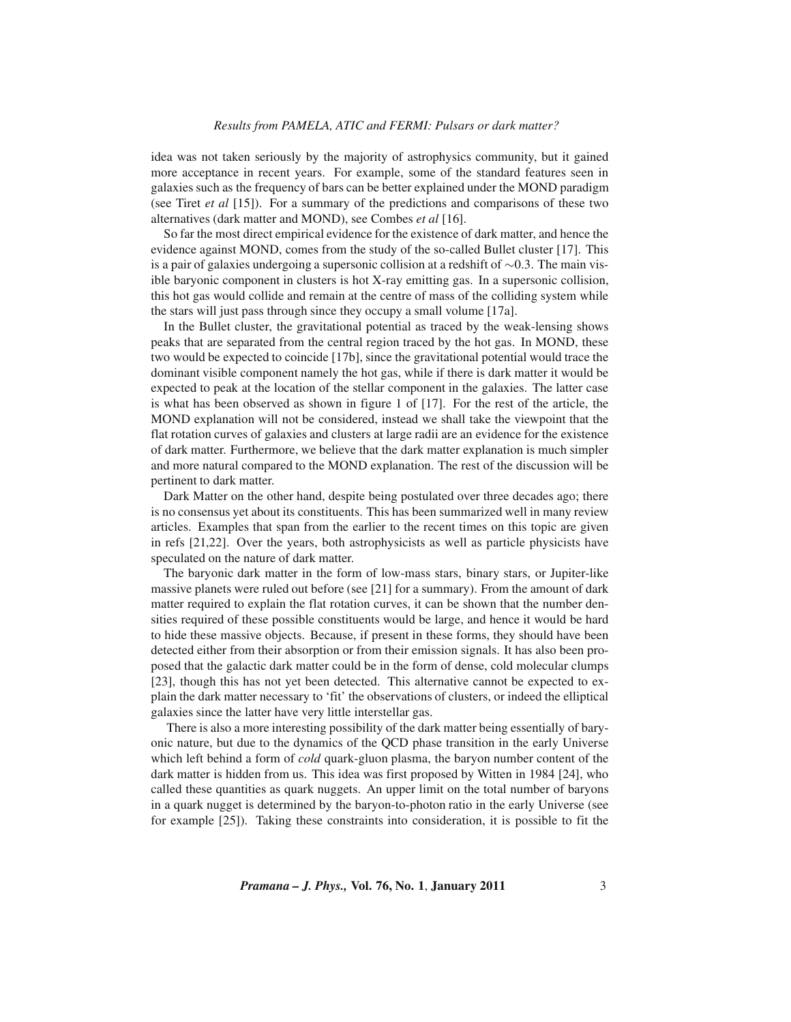idea was not taken seriously by the majority of astrophysics community, but it gained more acceptance in recent years. For example, some of the standard features seen in galaxies such as the frequency of bars can be better explained under the MOND paradigm (see Tiret *et al* [15]). For a summary of the predictions and comparisons of these two alternatives (dark matter and MOND), see Combes *et al* [16].

So far the most direct empirical evidence for the existence of dark matter, and hence the evidence against MOND, comes from the study of the so-called Bullet cluster [17]. This is a pair of galaxies undergoing a supersonic collision at a redshift of ∼0.3. The main visible baryonic component in clusters is hot X-ray emitting gas. In a supersonic collision, this hot gas would collide and remain at the centre of mass of the colliding system while the stars will just pass through since they occupy a small volume [17a].

In the Bullet cluster, the gravitational potential as traced by the weak-lensing shows peaks that are separated from the central region traced by the hot gas. In MOND, these two would be expected to coincide [17b], since the gravitational potential would trace the dominant visible component namely the hot gas, while if there is dark matter it would be expected to peak at the location of the stellar component in the galaxies. The latter case is what has been observed as shown in figure 1 of [17]. For the rest of the article, the MOND explanation will not be considered, instead we shall take the viewpoint that the flat rotation curves of galaxies and clusters at large radii are an evidence for the existence of dark matter. Furthermore, we believe that the dark matter explanation is much simpler and more natural compared to the MOND explanation. The rest of the discussion will be pertinent to dark matter.

Dark Matter on the other hand, despite being postulated over three decades ago; there is no consensus yet about its constituents. This has been summarized well in many review articles. Examples that span from the earlier to the recent times on this topic are given in refs [21,22]. Over the years, both astrophysicists as well as particle physicists have speculated on the nature of dark matter.

The baryonic dark matter in the form of low-mass stars, binary stars, or Jupiter-like massive planets were ruled out before (see [21] for a summary). From the amount of dark matter required to explain the flat rotation curves, it can be shown that the number densities required of these possible constituents would be large, and hence it would be hard to hide these massive objects. Because, if present in these forms, they should have been detected either from their absorption or from their emission signals. It has also been proposed that the galactic dark matter could be in the form of dense, cold molecular clumps [23], though this has not yet been detected. This alternative cannot be expected to explain the dark matter necessary to 'fit' the observations of clusters, or indeed the elliptical galaxies since the latter have very little interstellar gas.

There is also a more interesting possibility of the dark matter being essentially of baryonic nature, but due to the dynamics of the QCD phase transition in the early Universe which left behind a form of *cold* quark-gluon plasma, the baryon number content of the dark matter is hidden from us. This idea was first proposed by Witten in 1984 [24], who called these quantities as quark nuggets. An upper limit on the total number of baryons in a quark nugget is determined by the baryon-to-photon ratio in the early Universe (see for example [25]). Taking these constraints into consideration, it is possible to fit the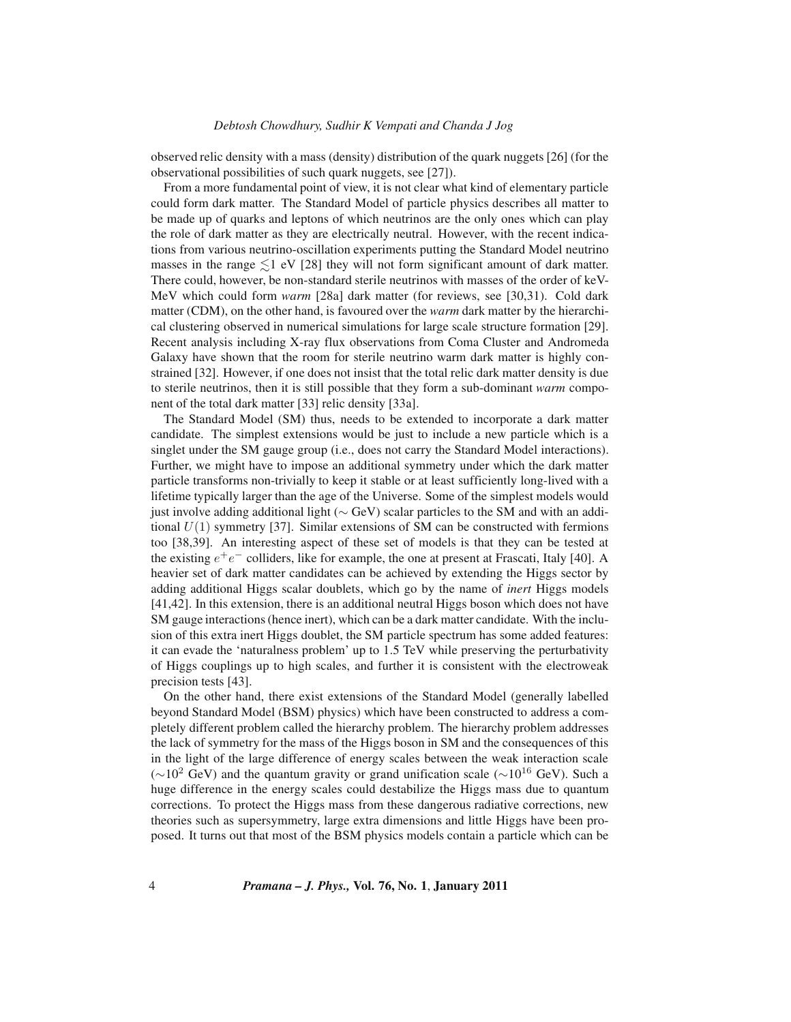observed relic density with a mass (density) distribution of the quark nuggets [26] (for the observational possibilities of such quark nuggets, see [27]).

From a more fundamental point of view, it is not clear what kind of elementary particle could form dark matter. The Standard Model of particle physics describes all matter to be made up of quarks and leptons of which neutrinos are the only ones which can play the role of dark matter as they are electrically neutral. However, with the recent indications from various neutrino-oscillation experiments putting the Standard Model neutrino masses in the range  $\leq 1$  eV [28] they will not form significant amount of dark matter. There could, however, be non-standard sterile neutrinos with masses of the order of keV-MeV which could form *warm* [28a] dark matter (for reviews, see [30,31). Cold dark matter (CDM), on the other hand, is favoured over the *warm* dark matter by the hierarchical clustering observed in numerical simulations for large scale structure formation [29]. Recent analysis including X-ray flux observations from Coma Cluster and Andromeda Galaxy have shown that the room for sterile neutrino warm dark matter is highly constrained [32]. However, if one does not insist that the total relic dark matter density is due to sterile neutrinos, then it is still possible that they form a sub-dominant *warm* component of the total dark matter [33] relic density [33a].

The Standard Model (SM) thus, needs to be extended to incorporate a dark matter candidate. The simplest extensions would be just to include a new particle which is a singlet under the SM gauge group (i.e., does not carry the Standard Model interactions). Further, we might have to impose an additional symmetry under which the dark matter particle transforms non-trivially to keep it stable or at least sufficiently long-lived with a lifetime typically larger than the age of the Universe. Some of the simplest models would just involve adding additional light (∼ GeV) scalar particles to the SM and with an additional  $U(1)$  symmetry [37]. Similar extensions of SM can be constructed with fermions too [38,39]. An interesting aspect of these set of models is that they can be tested at the existing  $e^+e^-$  colliders, like for example, the one at present at Frascati, Italy [40]. A heavier set of dark matter candidates can be achieved by extending the Higgs sector by adding additional Higgs scalar doublets, which go by the name of *inert* Higgs models [41,42]. In this extension, there is an additional neutral Higgs boson which does not have SM gauge interactions (hence inert), which can be a dark matter candidate. With the inclusion of this extra inert Higgs doublet, the SM particle spectrum has some added features: it can evade the 'naturalness problem' up to 1.5 TeV while preserving the perturbativity of Higgs couplings up to high scales, and further it is consistent with the electroweak precision tests [43].

On the other hand, there exist extensions of the Standard Model (generally labelled beyond Standard Model (BSM) physics) which have been constructed to address a completely different problem called the hierarchy problem. The hierarchy problem addresses the lack of symmetry for the mass of the Higgs boson in SM and the consequences of this in the light of the large difference of energy scales between the weak interaction scale ( $\sim$ 10<sup>2</sup> GeV) and the quantum gravity or grand unification scale ( $\sim$ 10<sup>16</sup> GeV). Such a huge difference in the energy scales could destabilize the Higgs mass due to quantum corrections. To protect the Higgs mass from these dangerous radiative corrections, new theories such as supersymmetry, large extra dimensions and little Higgs have been proposed. It turns out that most of the BSM physics models contain a particle which can be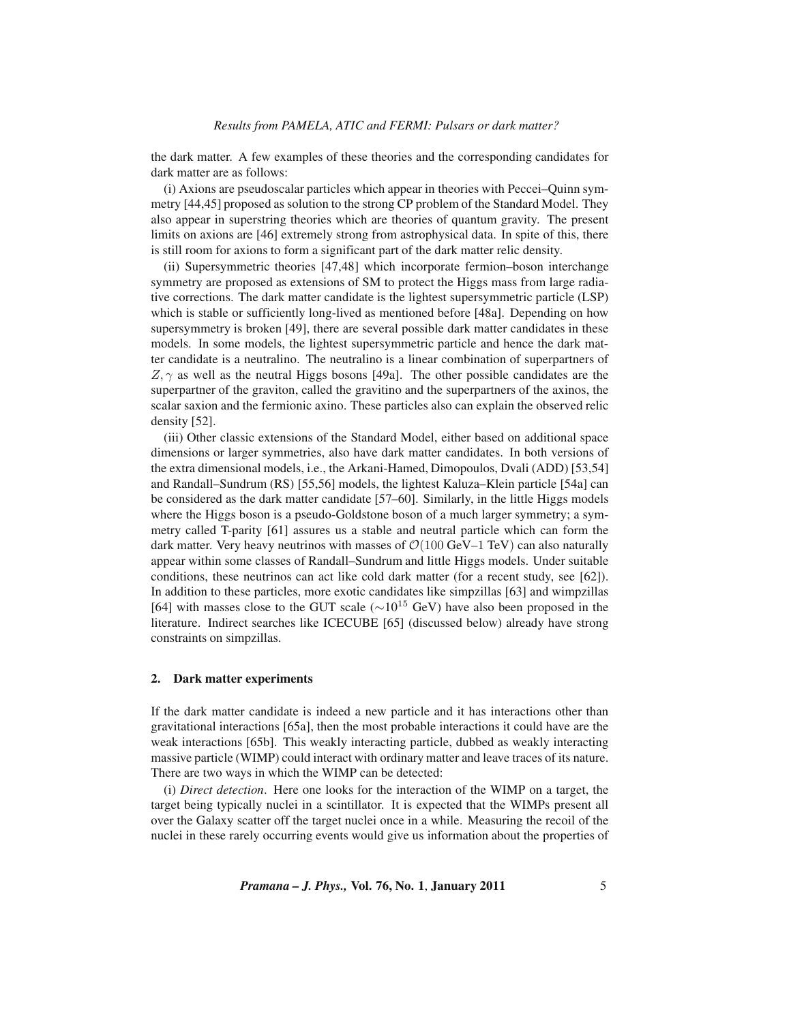the dark matter. A few examples of these theories and the corresponding candidates for dark matter are as follows:

(i) Axions are pseudoscalar particles which appear in theories with Peccei–Quinn symmetry [44,45] proposed as solution to the strong CP problem of the Standard Model. They also appear in superstring theories which are theories of quantum gravity. The present limits on axions are [46] extremely strong from astrophysical data. In spite of this, there is still room for axions to form a significant part of the dark matter relic density.

(ii) Supersymmetric theories [47,48] which incorporate fermion–boson interchange symmetry are proposed as extensions of SM to protect the Higgs mass from large radiative corrections. The dark matter candidate is the lightest supersymmetric particle (LSP) which is stable or sufficiently long-lived as mentioned before [48a]. Depending on how supersymmetry is broken [49], there are several possible dark matter candidates in these models. In some models, the lightest supersymmetric particle and hence the dark matter candidate is a neutralino. The neutralino is a linear combination of superpartners of  $Z, \gamma$  as well as the neutral Higgs bosons [49a]. The other possible candidates are the superpartner of the graviton, called the gravitino and the superpartners of the axinos, the scalar saxion and the fermionic axino. These particles also can explain the observed relic density [52].

(iii) Other classic extensions of the Standard Model, either based on additional space dimensions or larger symmetries, also have dark matter candidates. In both versions of the extra dimensional models, i.e., the Arkani-Hamed, Dimopoulos, Dvali (ADD) [53,54] and Randall–Sundrum (RS) [55,56] models, the lightest Kaluza–Klein particle [54a] can be considered as the dark matter candidate [57–60]. Similarly, in the little Higgs models where the Higgs boson is a pseudo-Goldstone boson of a much larger symmetry; a symmetry called T-parity [61] assures us a stable and neutral particle which can form the dark matter. Very heavy neutrinos with masses of  $\mathcal{O}(100 \text{ GeV} - 1 \text{ TeV})$  can also naturally appear within some classes of Randall–Sundrum and little Higgs models. Under suitable conditions, these neutrinos can act like cold dark matter (for a recent study, see [62]). In addition to these particles, more exotic candidates like simpzillas [63] and wimpzillas [64] with masses close to the GUT scale ( $\sim 10^{15}$  GeV) have also been proposed in the literature. Indirect searches like ICECUBE [65] (discussed below) already have strong constraints on simpzillas.

# **2. Dark matter experiments**

If the dark matter candidate is indeed a new particle and it has interactions other than gravitational interactions [65a], then the most probable interactions it could have are the weak interactions [65b]. This weakly interacting particle, dubbed as weakly interacting massive particle (WIMP) could interact with ordinary matter and leave traces of its nature. There are two ways in which the WIMP can be detected:

(i) *Direct detection*. Here one looks for the interaction of the WIMP on a target, the target being typically nuclei in a scintillator. It is expected that the WIMPs present all over the Galaxy scatter off the target nuclei once in a while. Measuring the recoil of the nuclei in these rarely occurring events would give us information about the properties of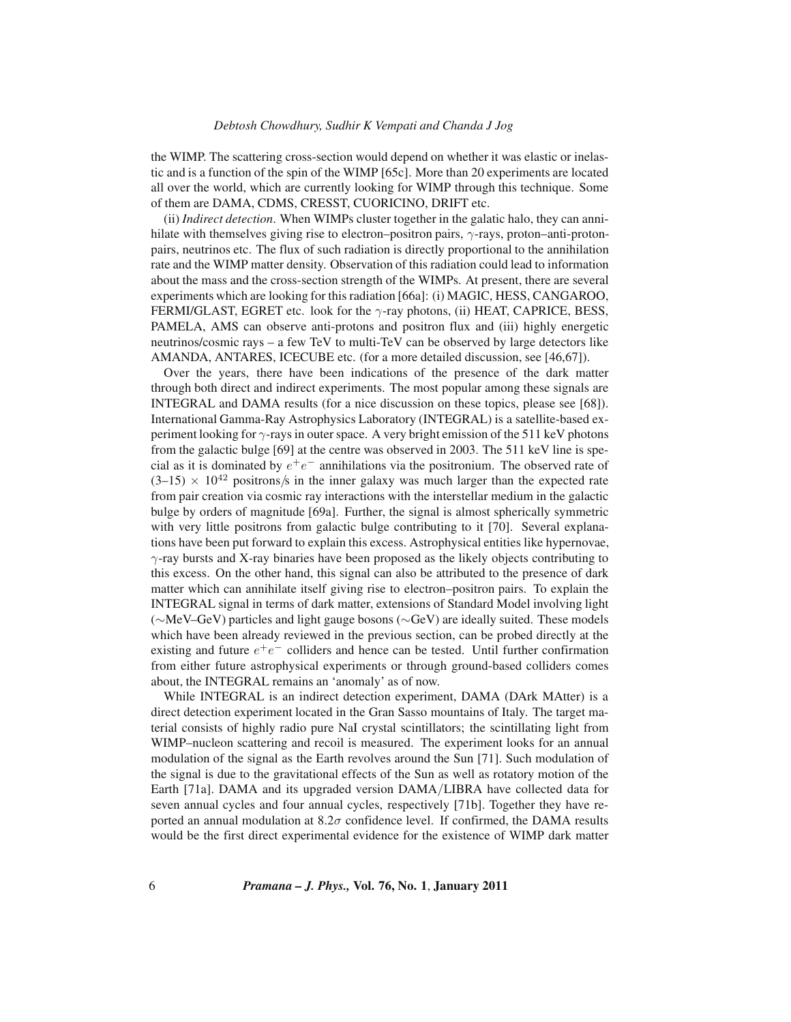the WIMP. The scattering cross-section would depend on whether it was elastic or inelastic and is a function of the spin of the WIMP [65c]. More than 20 experiments are located all over the world, which are currently looking for WIMP through this technique. Some of them are DAMA, CDMS, CRESST, CUORICINO, DRIFT etc.

(ii) *Indirect detection*. When WIMPs cluster together in the galatic halo, they can annihilate with themselves giving rise to electron–positron pairs,  $\gamma$ -rays, proton–anti-protonpairs, neutrinos etc. The flux of such radiation is directly proportional to the annihilation rate and the WIMP matter density. Observation of this radiation could lead to information about the mass and the cross-section strength of the WIMPs. At present, there are several experiments which are looking for this radiation [66a]: (i) MAGIC, HESS, CANGAROO, FERMI/GLAST, EGRET etc. look for the  $\gamma$ -ray photons, (ii) HEAT, CAPRICE, BESS, PAMELA, AMS can observe anti-protons and positron flux and (iii) highly energetic neutrinos/cosmic rays – a few TeV to multi-TeV can be observed by large detectors like AMANDA, ANTARES, ICECUBE etc. (for a more detailed discussion, see [46,67]).

Over the years, there have been indications of the presence of the dark matter through both direct and indirect experiments. The most popular among these signals are INTEGRAL and DAMA results (for a nice discussion on these topics, please see [68]). International Gamma-Ray Astrophysics Laboratory (INTEGRAL) is a satellite-based experiment looking for γ-rays in outer space. A very bright emission of the 511 keV photons from the galactic bulge [69] at the centre was observed in 2003. The 511 keV line is special as it is dominated by  $e^+e^-$  annihilations via the positronium. The observed rate of  $(3-15) \times 10^{42}$  positrons/s in the inner galaxy was much larger than the expected rate from pair creation via cosmic ray interactions with the interstellar medium in the galactic bulge by orders of magnitude [69a]. Further, the signal is almost spherically symmetric with very little positrons from galactic bulge contributing to it [70]. Several explanations have been put forward to explain this excess. Astrophysical entities like hypernovae,  $\gamma$ -ray bursts and X-ray binaries have been proposed as the likely objects contributing to this excess. On the other hand, this signal can also be attributed to the presence of dark matter which can annihilate itself giving rise to electron–positron pairs. To explain the INTEGRAL signal in terms of dark matter, extensions of Standard Model involving light (∼MeV–GeV) particles and light gauge bosons (∼GeV) are ideally suited. These models which have been already reviewed in the previous section, can be probed directly at the existing and future  $e^+e^-$  colliders and hence can be tested. Until further confirmation from either future astrophysical experiments or through ground-based colliders comes about, the INTEGRAL remains an 'anomaly' as of now.

While INTEGRAL is an indirect detection experiment, DAMA (DArk MAtter) is a direct detection experiment located in the Gran Sasso mountains of Italy. The target material consists of highly radio pure NaI crystal scintillators; the scintillating light from WIMP–nucleon scattering and recoil is measured. The experiment looks for an annual modulation of the signal as the Earth revolves around the Sun [71]. Such modulation of the signal is due to the gravitational effects of the Sun as well as rotatory motion of the Earth [71a]. DAMA and its upgraded version DAMA/LIBRA have collected data for seven annual cycles and four annual cycles, respectively [71b]. Together they have reported an annual modulation at  $8.2\sigma$  confidence level. If confirmed, the DAMA results would be the first direct experimental evidence for the existence of WIMP dark matter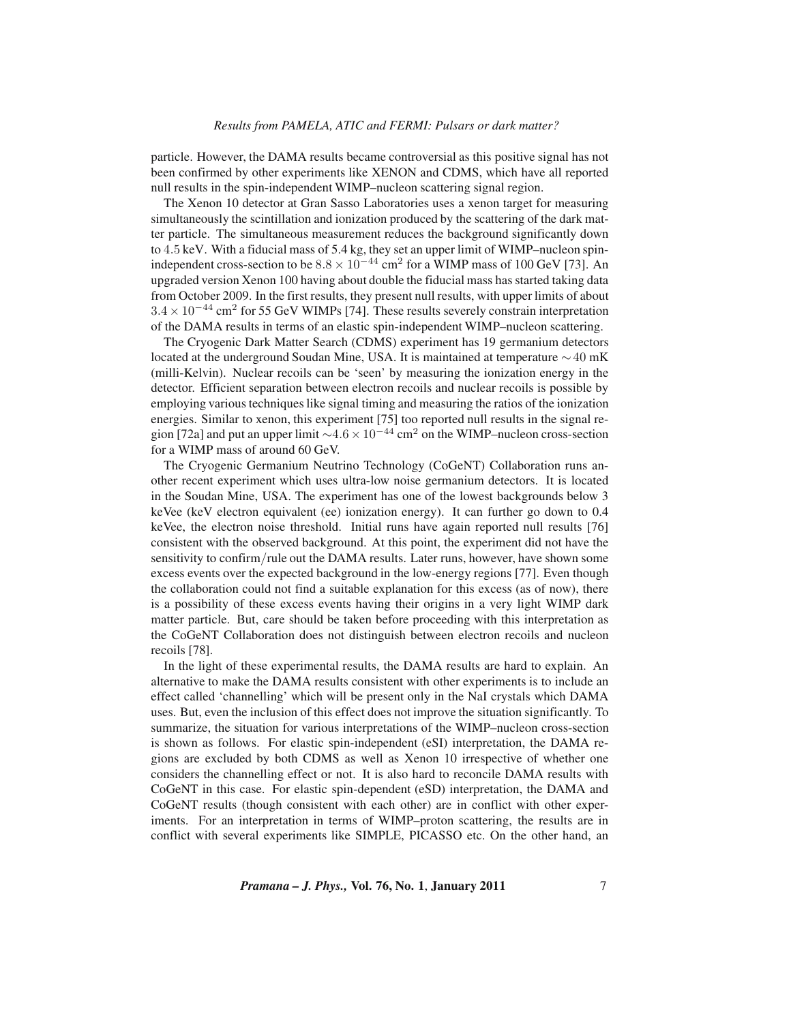particle. However, the DAMA results became controversial as this positive signal has not been confirmed by other experiments like XENON and CDMS, which have all reported null results in the spin-independent WIMP–nucleon scattering signal region.

The Xenon 10 detector at Gran Sasso Laboratories uses a xenon target for measuring simultaneously the scintillation and ionization produced by the scattering of the dark matter particle. The simultaneous measurement reduces the background significantly down to 4.5 keV. With a fiducial mass of 5.4 kg, they set an upper limit of WIMP–nucleon spinindependent cross-section to be  $8.8 \times 10^{-44}$  cm<sup>2</sup> for a WIMP mass of 100 GeV [73]. An upgraded version Xenon 100 having about double the fiducial mass has started taking data from October 2009. In the first results, they present null results, with upper limits of about  $3.4 \times 10^{-44}$  cm<sup>2</sup> for 55 GeV WIMPs [74]. These results severely constrain interpretation of the DAMA results in terms of an elastic spin-independent WIMP–nucleon scattering.

The Cryogenic Dark Matter Search (CDMS) experiment has 19 germanium detectors located at the underground Soudan Mine, USA. It is maintained at temperature  $\sim$  40 mK (milli-Kelvin). Nuclear recoils can be 'seen' by measuring the ionization energy in the detector. Efficient separation between electron recoils and nuclear recoils is possible by employing various techniques like signal timing and measuring the ratios of the ionization energies. Similar to xenon, this experiment [75] too reported null results in the signal region [72a] and put an upper limit  $\sim 4.6 \times 10^{-44}$  cm<sup>2</sup> on the WIMP–nucleon cross-section for a WIMP mass of around 60 GeV.

The Cryogenic Germanium Neutrino Technology (CoGeNT) Collaboration runs another recent experiment which uses ultra-low noise germanium detectors. It is located in the Soudan Mine, USA. The experiment has one of the lowest backgrounds below 3 keVee (keV electron equivalent (ee) ionization energy). It can further go down to 0.4 keVee, the electron noise threshold. Initial runs have again reported null results [76] consistent with the observed background. At this point, the experiment did not have the sensitivity to confirm/rule out the DAMA results. Later runs, however, have shown some excess events over the expected background in the low-energy regions [77]. Even though the collaboration could not find a suitable explanation for this excess (as of now), there is a possibility of these excess events having their origins in a very light WIMP dark matter particle. But, care should be taken before proceeding with this interpretation as the CoGeNT Collaboration does not distinguish between electron recoils and nucleon recoils [78].

In the light of these experimental results, the DAMA results are hard to explain. An alternative to make the DAMA results consistent with other experiments is to include an effect called 'channelling' which will be present only in the NaI crystals which DAMA uses. But, even the inclusion of this effect does not improve the situation significantly. To summarize, the situation for various interpretations of the WIMP–nucleon cross-section is shown as follows. For elastic spin-independent (eSI) interpretation, the DAMA regions are excluded by both CDMS as well as Xenon 10 irrespective of whether one considers the channelling effect or not. It is also hard to reconcile DAMA results with CoGeNT in this case. For elastic spin-dependent (eSD) interpretation, the DAMA and CoGeNT results (though consistent with each other) are in conflict with other experiments. For an interpretation in terms of WIMP–proton scattering, the results are in conflict with several experiments like SIMPLE, PICASSO etc. On the other hand, an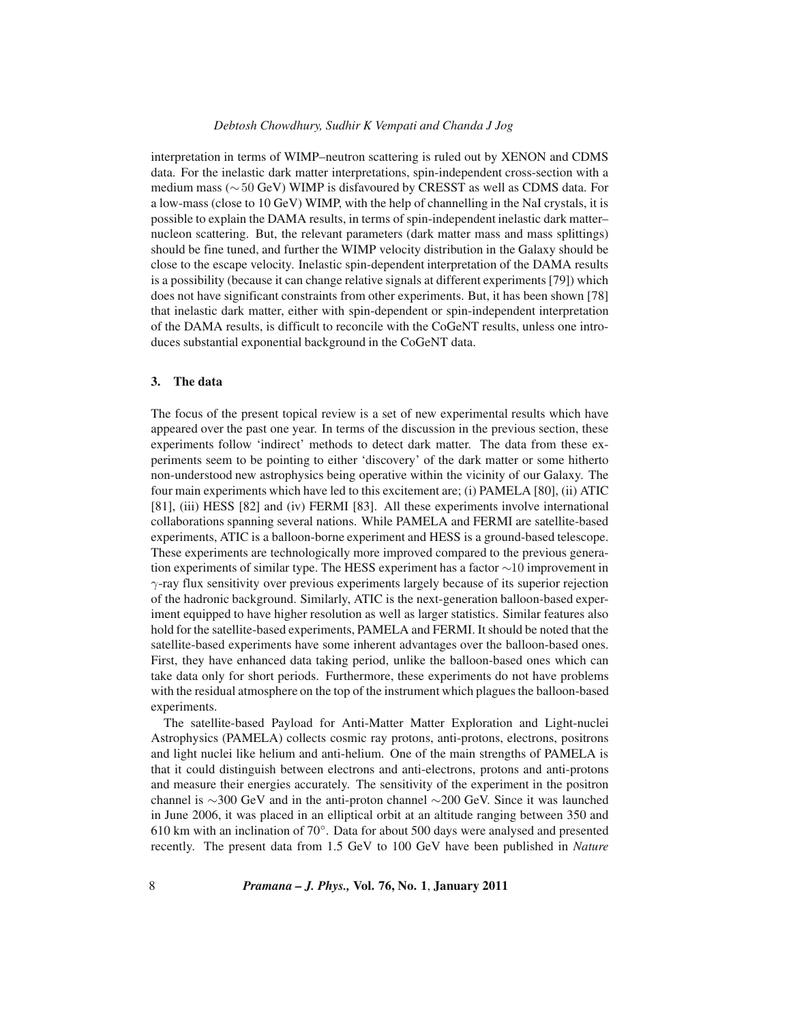interpretation in terms of WIMP–neutron scattering is ruled out by XENON and CDMS data. For the inelastic dark matter interpretations, spin-independent cross-section with a medium mass (∼50 GeV) WIMP is disfavoured by CRESST as well as CDMS data. For a low-mass (close to 10 GeV) WIMP, with the help of channelling in the NaI crystals, it is possible to explain the DAMA results, in terms of spin-independent inelastic dark matter– nucleon scattering. But, the relevant parameters (dark matter mass and mass splittings) should be fine tuned, and further the WIMP velocity distribution in the Galaxy should be close to the escape velocity. Inelastic spin-dependent interpretation of the DAMA results is a possibility (because it can change relative signals at different experiments [79]) which does not have significant constraints from other experiments. But, it has been shown [78] that inelastic dark matter, either with spin-dependent or spin-independent interpretation of the DAMA results, is difficult to reconcile with the CoGeNT results, unless one introduces substantial exponential background in the CoGeNT data.

# **3. The data**

The focus of the present topical review is a set of new experimental results which have appeared over the past one year. In terms of the discussion in the previous section, these experiments follow 'indirect' methods to detect dark matter. The data from these experiments seem to be pointing to either 'discovery' of the dark matter or some hitherto non-understood new astrophysics being operative within the vicinity of our Galaxy. The four main experiments which have led to this excitement are; (i) PAMELA [80], (ii) ATIC [81], (iii) HESS [82] and (iv) FERMI [83]. All these experiments involve international collaborations spanning several nations. While PAMELA and FERMI are satellite-based experiments, ATIC is a balloon-borne experiment and HESS is a ground-based telescope. These experiments are technologically more improved compared to the previous generation experiments of similar type. The HESS experiment has a factor ∼10 improvement in  $\gamma$ -ray flux sensitivity over previous experiments largely because of its superior rejection of the hadronic background. Similarly, ATIC is the next-generation balloon-based experiment equipped to have higher resolution as well as larger statistics. Similar features also hold for the satellite-based experiments, PAMELA and FERMI. It should be noted that the satellite-based experiments have some inherent advantages over the balloon-based ones. First, they have enhanced data taking period, unlike the balloon-based ones which can take data only for short periods. Furthermore, these experiments do not have problems with the residual atmosphere on the top of the instrument which plagues the balloon-based experiments.

The satellite-based Payload for Anti-Matter Matter Exploration and Light-nuclei Astrophysics (PAMELA) collects cosmic ray protons, anti-protons, electrons, positrons and light nuclei like helium and anti-helium. One of the main strengths of PAMELA is that it could distinguish between electrons and anti-electrons, protons and anti-protons and measure their energies accurately. The sensitivity of the experiment in the positron channel is ∼300 GeV and in the anti-proton channel ∼200 GeV. Since it was launched in June 2006, it was placed in an elliptical orbit at an altitude ranging between 350 and 610 km with an inclination of 70◦. Data for about 500 days were analysed and presented recently. The present data from 1.5 GeV to 100 GeV have been published in *Nature*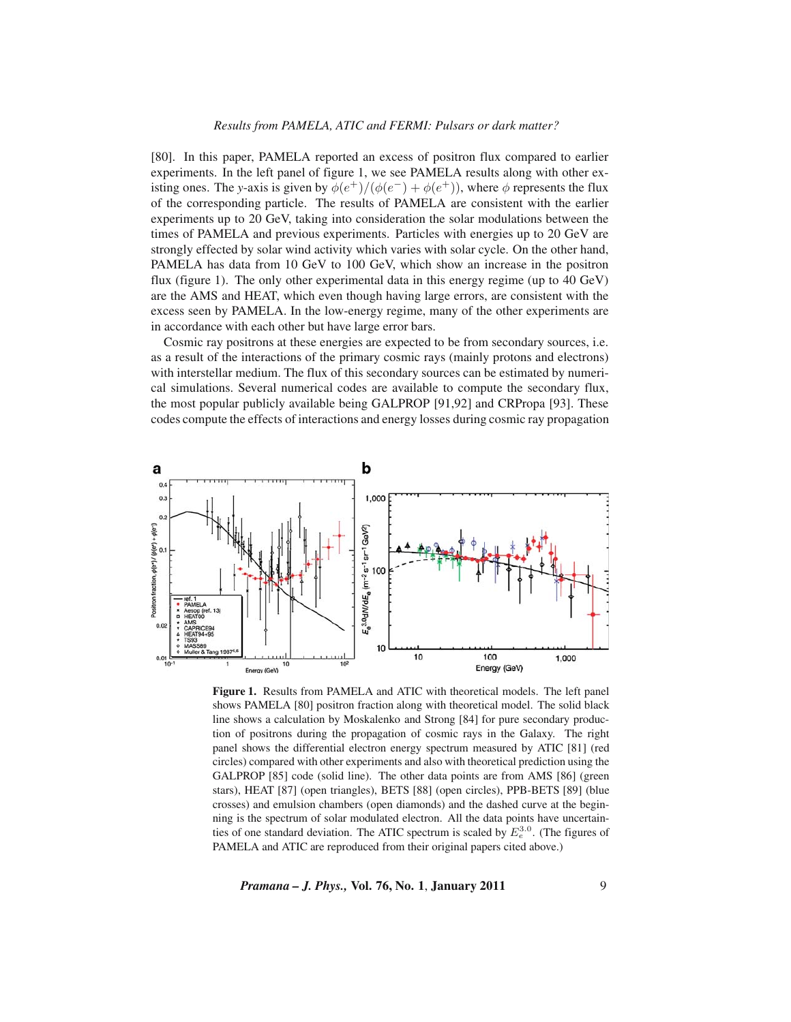[80]. In this paper, PAMELA reported an excess of positron flux compared to earlier experiments. In the left panel of figure 1, we see PAMELA results along with other existing ones. The *y*-axis is given by  $\phi(e^+)/(\phi(e^-) + \phi(e^+))$ , where  $\phi$  represents the flux of the corresponding particle. The results of PAMELA are consistent with the earlier experiments up to 20 GeV, taking into consideration the solar modulations between the times of PAMELA and previous experiments. Particles with energies up to 20 GeV are strongly effected by solar wind activity which varies with solar cycle. On the other hand, PAMELA has data from 10 GeV to 100 GeV, which show an increase in the positron flux (figure 1). The only other experimental data in this energy regime (up to 40 GeV) are the AMS and HEAT, which even though having large errors, are consistent with the excess seen by PAMELA. In the low-energy regime, many of the other experiments are in accordance with each other but have large error bars.

Cosmic ray positrons at these energies are expected to be from secondary sources, i.e. as a result of the interactions of the primary cosmic rays (mainly protons and electrons) with interstellar medium. The flux of this secondary sources can be estimated by numerical simulations. Several numerical codes are available to compute the secondary flux, the most popular publicly available being GALPROP [91,92] and CRPropa [93]. These codes compute the effects of interactions and energy losses during cosmic ray propagation



**Figure 1.** Results from PAMELA and ATIC with theoretical models. The left panel shows PAMELA [80] positron fraction along with theoretical model. The solid black line shows a calculation by Moskalenko and Strong [84] for pure secondary production of positrons during the propagation of cosmic rays in the Galaxy. The right panel shows the differential electron energy spectrum measured by ATIC [81] (red circles) compared with other experiments and also with theoretical prediction using the GALPROP [85] code (solid line). The other data points are from AMS [86] (green stars), HEAT [87] (open triangles), BETS [88] (open circles), PPB-BETS [89] (blue crosses) and emulsion chambers (open diamonds) and the dashed curve at the beginning is the spectrum of solar modulated electron. All the data points have uncertainties of one standard deviation. The ATIC spectrum is scaled by  $E_e^{3.0}$ . (The figures of PAMELA and ATIC are reproduced from their original papers cited above.)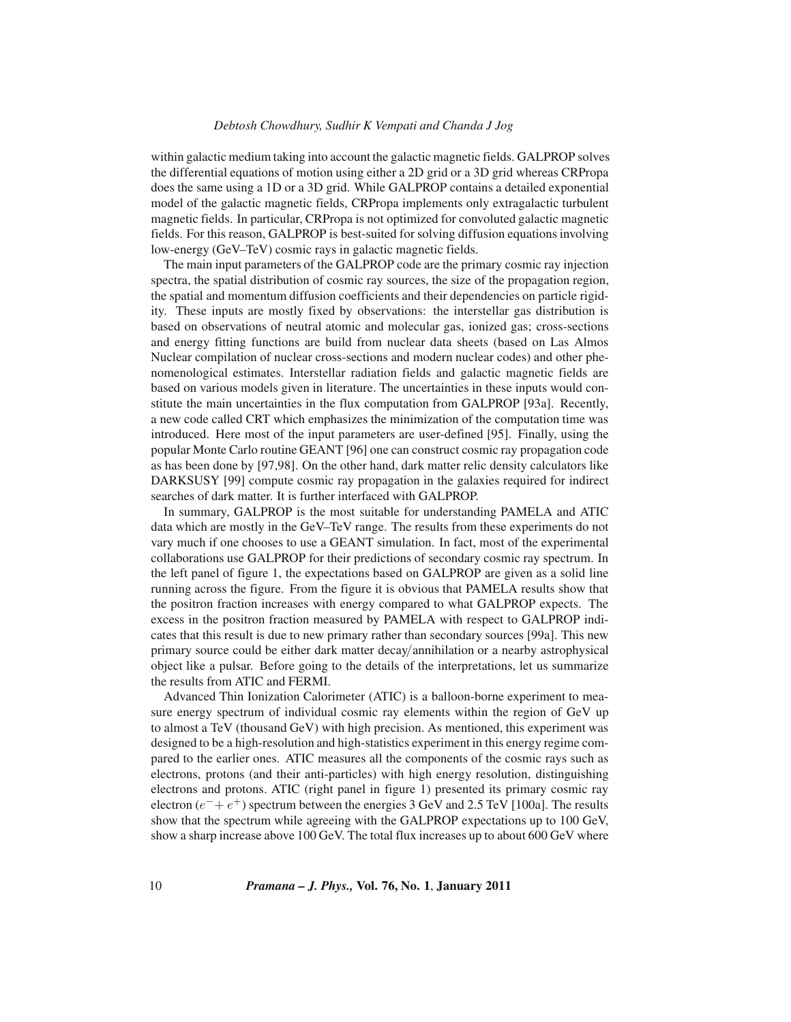within galactic medium taking into account the galactic magnetic fields. GALPROP solves the differential equations of motion using either a 2D grid or a 3D grid whereas CRPropa does the same using a 1D or a 3D grid. While GALPROP contains a detailed exponential model of the galactic magnetic fields, CRPropa implements only extragalactic turbulent magnetic fields. In particular, CRPropa is not optimized for convoluted galactic magnetic fields. For this reason, GALPROP is best-suited for solving diffusion equations involving low-energy (GeV–TeV) cosmic rays in galactic magnetic fields.

The main input parameters of the GALPROP code are the primary cosmic ray injection spectra, the spatial distribution of cosmic ray sources, the size of the propagation region, the spatial and momentum diffusion coefficients and their dependencies on particle rigidity. These inputs are mostly fixed by observations: the interstellar gas distribution is based on observations of neutral atomic and molecular gas, ionized gas; cross-sections and energy fitting functions are build from nuclear data sheets (based on Las Almos Nuclear compilation of nuclear cross-sections and modern nuclear codes) and other phenomenological estimates. Interstellar radiation fields and galactic magnetic fields are based on various models given in literature. The uncertainties in these inputs would constitute the main uncertainties in the flux computation from GALPROP [93a]. Recently, a new code called CRT which emphasizes the minimization of the computation time was introduced. Here most of the input parameters are user-defined [95]. Finally, using the popular Monte Carlo routine GEANT [96] one can construct cosmic ray propagation code as has been done by [97,98]. On the other hand, dark matter relic density calculators like DARKSUSY [99] compute cosmic ray propagation in the galaxies required for indirect searches of dark matter. It is further interfaced with GALPROP.

In summary, GALPROP is the most suitable for understanding PAMELA and ATIC data which are mostly in the GeV–TeV range. The results from these experiments do not vary much if one chooses to use a GEANT simulation. In fact, most of the experimental collaborations use GALPROP for their predictions of secondary cosmic ray spectrum. In the left panel of figure 1, the expectations based on GALPROP are given as a solid line running across the figure. From the figure it is obvious that PAMELA results show that the positron fraction increases with energy compared to what GALPROP expects. The excess in the positron fraction measured by PAMELA with respect to GALPROP indicates that this result is due to new primary rather than secondary sources [99a]. This new primary source could be either dark matter decay/annihilation or a nearby astrophysical object like a pulsar. Before going to the details of the interpretations, let us summarize the results from ATIC and FERMI.

Advanced Thin Ionization Calorimeter (ATIC) is a balloon-borne experiment to measure energy spectrum of individual cosmic ray elements within the region of GeV up to almost a TeV (thousand GeV) with high precision. As mentioned, this experiment was designed to be a high-resolution and high-statistics experiment in this energy regime compared to the earlier ones. ATIC measures all the components of the cosmic rays such as electrons, protons (and their anti-particles) with high energy resolution, distinguishing electrons and protons. ATIC (right panel in figure 1) presented its primary cosmic ray electron  $(e^- + e^+)$  spectrum between the energies 3 GeV and 2.5 TeV [100a]. The results show that the spectrum while agreeing with the GALPROP expectations up to 100 GeV, show a sharp increase above 100 GeV. The total flux increases up to about 600 GeV where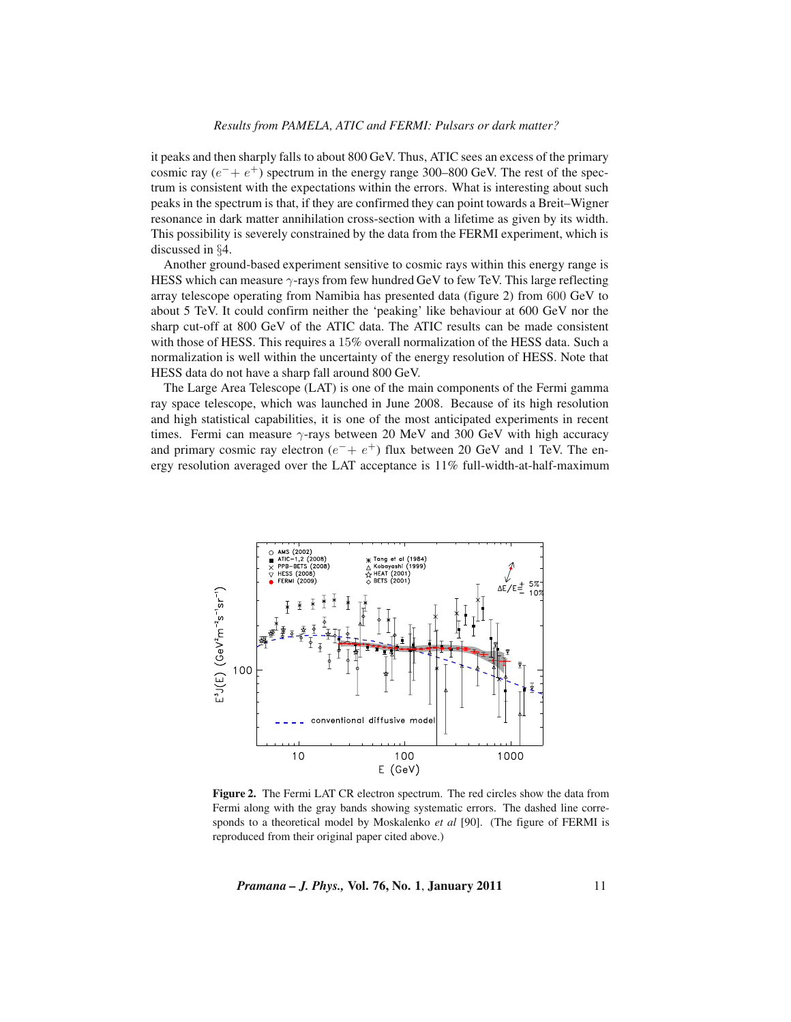it peaks and then sharply falls to about 800 GeV. Thus, ATIC sees an excess of the primary cosmic ray  $(e^{-}+e^{+})$  spectrum in the energy range 300–800 GeV. The rest of the spectrum is consistent with the expectations within the errors. What is interesting about such peaks in the spectrum is that, if they are confirmed they can point towards a Breit–Wigner resonance in dark matter annihilation cross-section with a lifetime as given by its width. This possibility is severely constrained by the data from the FERMI experiment, which is discussed in §4.

Another ground-based experiment sensitive to cosmic rays within this energy range is HESS which can measure  $\gamma$ -rays from few hundred GeV to few TeV. This large reflecting array telescope operating from Namibia has presented data (figure 2) from 600 GeV to about 5 TeV. It could confirm neither the 'peaking' like behaviour at 600 GeV nor the sharp cut-off at 800 GeV of the ATIC data. The ATIC results can be made consistent with those of HESS. This requires a 15% overall normalization of the HESS data. Such a normalization is well within the uncertainty of the energy resolution of HESS. Note that HESS data do not have a sharp fall around 800 GeV.

The Large Area Telescope (LAT) is one of the main components of the Fermi gamma ray space telescope, which was launched in June 2008. Because of its high resolution and high statistical capabilities, it is one of the most anticipated experiments in recent times. Fermi can measure  $\gamma$ -rays between 20 MeV and 300 GeV with high accuracy and primary cosmic ray electron ( $e^-+e^+$ ) flux between 20 GeV and 1 TeV. The energy resolution averaged over the LAT acceptance is 11% full-width-at-half-maximum



**Figure 2.** The Fermi LAT CR electron spectrum. The red circles show the data from Fermi along with the gray bands showing systematic errors. The dashed line corresponds to a theoretical model by Moskalenko *et al* [90]. (The figure of FERMI is reproduced from their original paper cited above.)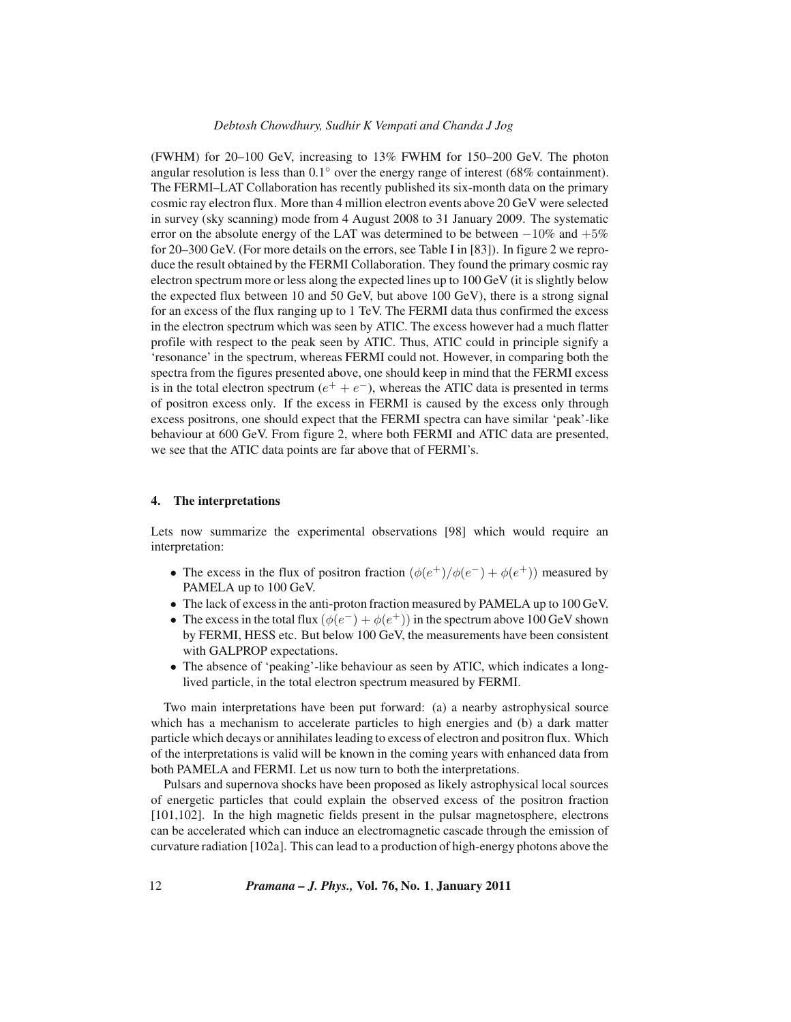(FWHM) for 20–100 GeV, increasing to 13% FWHM for 150–200 GeV. The photon angular resolution is less than  $0.1^\circ$  over the energy range of interest (68% containment). The FERMI–LAT Collaboration has recently published its six-month data on the primary cosmic ray electron flux. More than 4 million electron events above 20 GeV were selected in survey (sky scanning) mode from 4 August 2008 to 31 January 2009. The systematic error on the absolute energy of the LAT was determined to be between  $-10\%$  and  $+5\%$ for 20–300 GeV. (For more details on the errors, see Table I in [83]). In figure 2 we reproduce the result obtained by the FERMI Collaboration. They found the primary cosmic ray electron spectrum more or less along the expected lines up to 100 GeV (it is slightly below the expected flux between 10 and 50 GeV, but above 100 GeV), there is a strong signal for an excess of the flux ranging up to 1 TeV. The FERMI data thus confirmed the excess in the electron spectrum which was seen by ATIC. The excess however had a much flatter profile with respect to the peak seen by ATIC. Thus, ATIC could in principle signify a 'resonance' in the spectrum, whereas FERMI could not. However, in comparing both the spectra from the figures presented above, one should keep in mind that the FERMI excess is in the total electron spectrum ( $e^+ + e^-$ ), whereas the ATIC data is presented in terms of positron excess only. If the excess in FERMI is caused by the excess only through excess positrons, one should expect that the FERMI spectra can have similar 'peak'-like behaviour at 600 GeV. From figure 2, where both FERMI and ATIC data are presented, we see that the ATIC data points are far above that of FERMI's.

# **4. The interpretations**

Lets now summarize the experimental observations [98] which would require an interpretation:

- The excess in the flux of positron fraction  $(\phi(e^+)/\phi(e^-) + \phi(e^+))$  measured by PAMELA up to 100 GeV.
- The lack of excess in the anti-proton fraction measured by PAMELA up to 100 GeV.
- The excess in the total flux  $(\phi(e^-) + \phi(e^+))$  in the spectrum above 100 GeV shown by FERMI, HESS etc. But below 100 GeV, the measurements have been consistent with GALPROP expectations.
- The absence of 'peaking'-like behaviour as seen by ATIC, which indicates a longlived particle, in the total electron spectrum measured by FERMI.

Two main interpretations have been put forward: (a) a nearby astrophysical source which has a mechanism to accelerate particles to high energies and (b) a dark matter particle which decays or annihilates leading to excess of electron and positron flux. Which of the interpretations is valid will be known in the coming years with enhanced data from both PAMELA and FERMI. Let us now turn to both the interpretations.

Pulsars and supernova shocks have been proposed as likely astrophysical local sources of energetic particles that could explain the observed excess of the positron fraction [101,102]. In the high magnetic fields present in the pulsar magnetosphere, electrons can be accelerated which can induce an electromagnetic cascade through the emission of curvature radiation [102a]. This can lead to a production of high-energy photons above the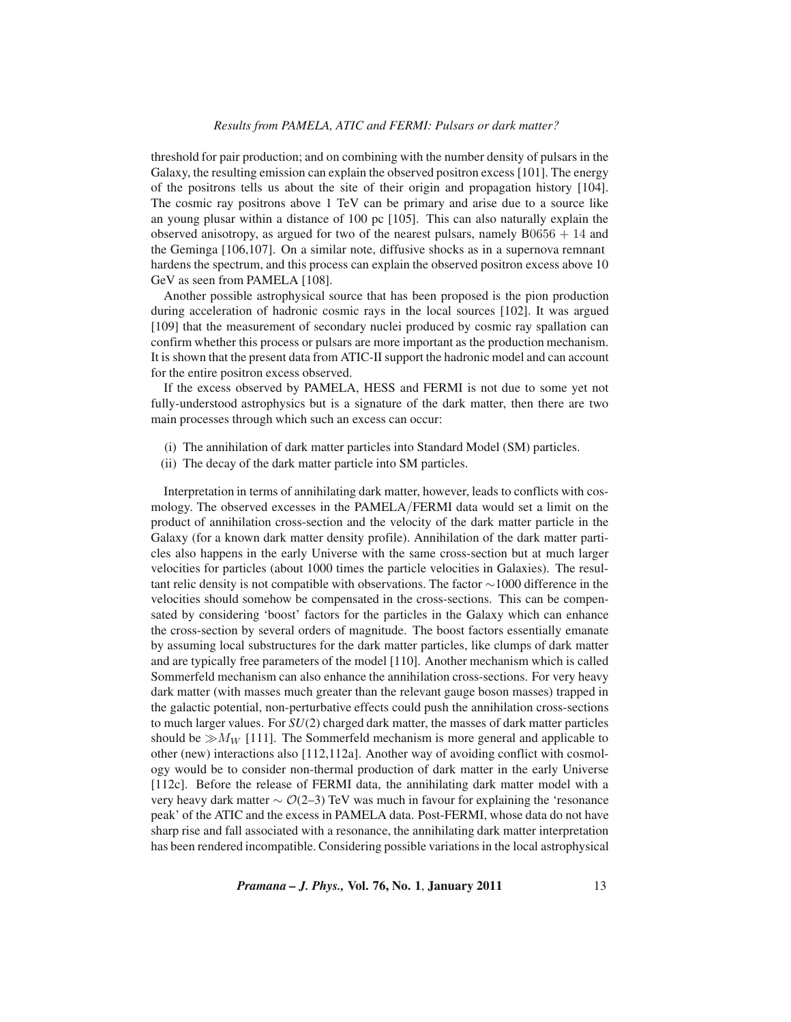threshold for pair production; and on combining with the number density of pulsars in the Galaxy, the resulting emission can explain the observed positron excess [101]. The energy of the positrons tells us about the site of their origin and propagation history [104]. The cosmic ray positrons above 1 TeV can be primary and arise due to a source like an young plusar within a distance of 100 pc [105]. This can also naturally explain the observed anisotropy, as argued for two of the nearest pulsars, namely  $B0656 + 14$  and the Geminga [106,107]. On a similar note, diffusive shocks as in a supernova remnant hardens the spectrum, and this process can explain the observed positron excess above 10 GeV as seen from PAMELA [108].

Another possible astrophysical source that has been proposed is the pion production during acceleration of hadronic cosmic rays in the local sources [102]. It was argued [109] that the measurement of secondary nuclei produced by cosmic ray spallation can confirm whether this process or pulsars are more important as the production mechanism. It is shown that the present data from ATIC-II support the hadronic model and can account for the entire positron excess observed.

If the excess observed by PAMELA, HESS and FERMI is not due to some yet not fully-understood astrophysics but is a signature of the dark matter, then there are two main processes through which such an excess can occur:

- (i) The annihilation of dark matter particles into Standard Model (SM) particles.
- (ii) The decay of the dark matter particle into SM particles.

Interpretation in terms of annihilating dark matter, however, leads to conflicts with cosmology. The observed excesses in the PAMELA/FERMI data would set a limit on the product of annihilation cross-section and the velocity of the dark matter particle in the Galaxy (for a known dark matter density profile). Annihilation of the dark matter particles also happens in the early Universe with the same cross-section but at much larger velocities for particles (about 1000 times the particle velocities in Galaxies). The resultant relic density is not compatible with observations. The factor ∼1000 difference in the velocities should somehow be compensated in the cross-sections. This can be compensated by considering 'boost' factors for the particles in the Galaxy which can enhance the cross-section by several orders of magnitude. The boost factors essentially emanate by assuming local substructures for the dark matter particles, like clumps of dark matter and are typically free parameters of the model [110]. Another mechanism which is called Sommerfeld mechanism can also enhance the annihilation cross-sections. For very heavy dark matter (with masses much greater than the relevant gauge boson masses) trapped in the galactic potential, non-perturbative effects could push the annihilation cross-sections to much larger values. For *SU*(2) charged dark matter, the masses of dark matter particles should be  $\gg M_W$  [111]. The Sommerfeld mechanism is more general and applicable to other (new) interactions also [112,112a]. Another way of avoiding conflict with cosmology would be to consider non-thermal production of dark matter in the early Universe [112c]. Before the release of FERMI data, the annihilating dark matter model with a very heavy dark matter ∼ O(2–3) TeV was much in favour for explaining the 'resonance peak' of the ATIC and the excess in PAMELA data. Post-FERMI, whose data do not have sharp rise and fall associated with a resonance, the annihilating dark matter interpretation has been rendered incompatible. Considering possible variations in the local astrophysical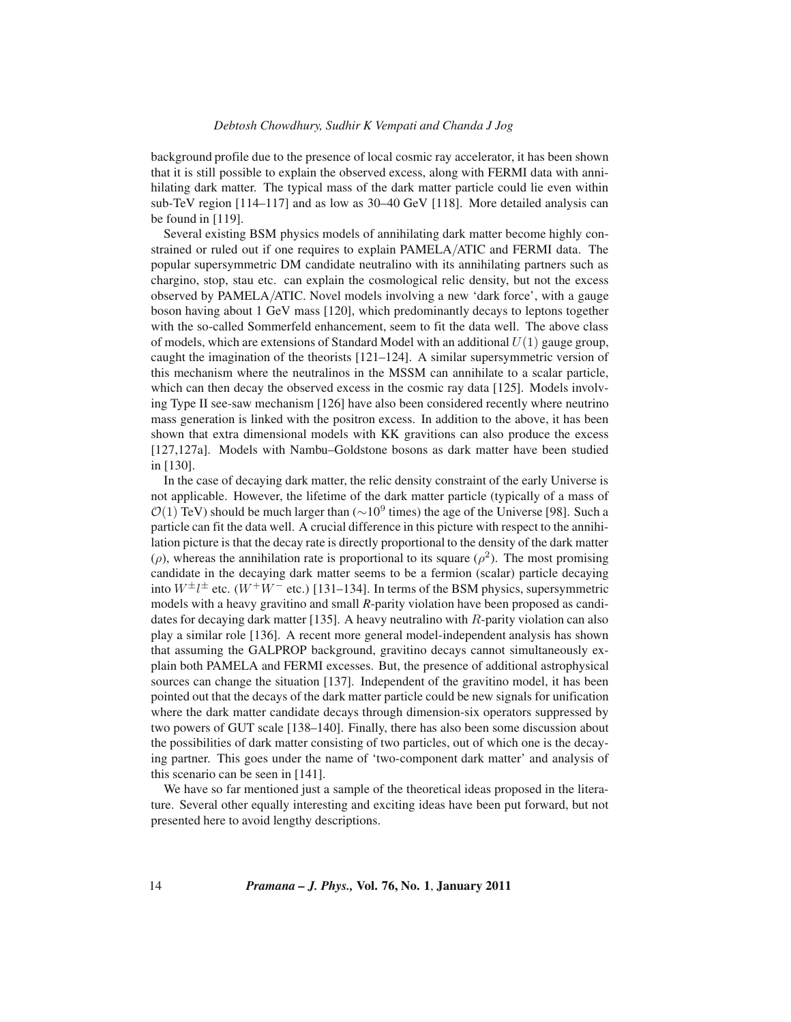background profile due to the presence of local cosmic ray accelerator, it has been shown that it is still possible to explain the observed excess, along with FERMI data with annihilating dark matter. The typical mass of the dark matter particle could lie even within sub-TeV region [114–117] and as low as 30–40 GeV [118]. More detailed analysis can be found in [119].

Several existing BSM physics models of annihilating dark matter become highly constrained or ruled out if one requires to explain PAMELA/ATIC and FERMI data. The popular supersymmetric DM candidate neutralino with its annihilating partners such as chargino, stop, stau etc. can explain the cosmological relic density, but not the excess observed by PAMELA/ATIC. Novel models involving a new 'dark force', with a gauge boson having about 1 GeV mass [120], which predominantly decays to leptons together with the so-called Sommerfeld enhancement, seem to fit the data well. The above class of models, which are extensions of Standard Model with an additional  $U(1)$  gauge group, caught the imagination of the theorists [121–124]. A similar supersymmetric version of this mechanism where the neutralinos in the MSSM can annihilate to a scalar particle, which can then decay the observed excess in the cosmic ray data [125]. Models involving Type II see-saw mechanism [126] have also been considered recently where neutrino mass generation is linked with the positron excess. In addition to the above, it has been shown that extra dimensional models with KK gravitions can also produce the excess [127,127a]. Models with Nambu–Goldstone bosons as dark matter have been studied in [130].

In the case of decaying dark matter, the relic density constraint of the early Universe is not applicable. However, the lifetime of the dark matter particle (typically of a mass of  $\mathcal{O}(1)$  TeV) should be much larger than ( $\sim$ 10<sup>9</sup> times) the age of the Universe [98]. Such a particle can fit the data well. A crucial difference in this picture with respect to the annihilation picture is that the decay rate is directly proportional to the density of the dark matter ( $\rho$ ), whereas the annihilation rate is proportional to its square ( $\rho^2$ ). The most promising candidate in the decaying dark matter seems to be a fermion (scalar) particle decaying into  $W^{\pm}l^{\pm}$  etc. ( $W^{+}W^{-}$  etc.) [131–134]. In terms of the BSM physics, supersymmetric models with a heavy gravitino and small *R*-parity violation have been proposed as candidates for decaying dark matter [135]. A heavy neutralino with R-parity violation can also play a similar role [136]. A recent more general model-independent analysis has shown that assuming the GALPROP background, gravitino decays cannot simultaneously explain both PAMELA and FERMI excesses. But, the presence of additional astrophysical sources can change the situation [137]. Independent of the gravitino model, it has been pointed out that the decays of the dark matter particle could be new signals for unification where the dark matter candidate decays through dimension-six operators suppressed by two powers of GUT scale [138–140]. Finally, there has also been some discussion about the possibilities of dark matter consisting of two particles, out of which one is the decaying partner. This goes under the name of 'two-component dark matter' and analysis of this scenario can be seen in [141].

We have so far mentioned just a sample of the theoretical ideas proposed in the literature. Several other equally interesting and exciting ideas have been put forward, but not presented here to avoid lengthy descriptions.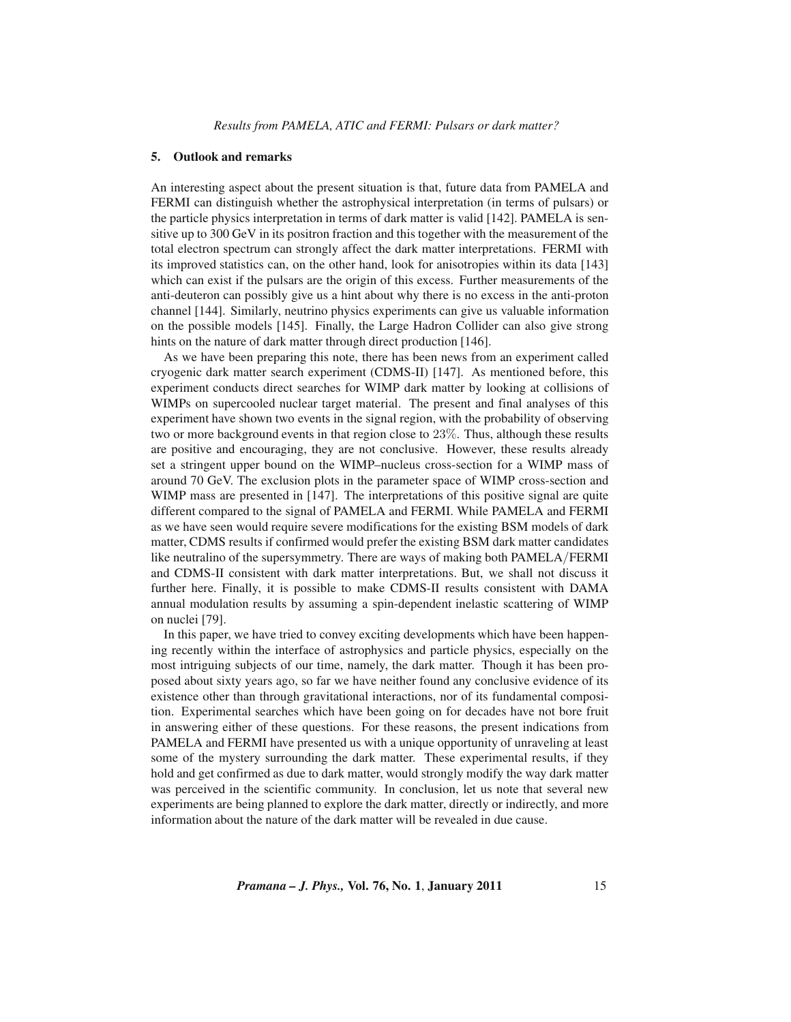## **5. Outlook and remarks**

An interesting aspect about the present situation is that, future data from PAMELA and FERMI can distinguish whether the astrophysical interpretation (in terms of pulsars) or the particle physics interpretation in terms of dark matter is valid [142]. PAMELA is sensitive up to 300 GeV in its positron fraction and this together with the measurement of the total electron spectrum can strongly affect the dark matter interpretations. FERMI with its improved statistics can, on the other hand, look for anisotropies within its data [143] which can exist if the pulsars are the origin of this excess. Further measurements of the anti-deuteron can possibly give us a hint about why there is no excess in the anti-proton channel [144]. Similarly, neutrino physics experiments can give us valuable information on the possible models [145]. Finally, the Large Hadron Collider can also give strong hints on the nature of dark matter through direct production [146].

As we have been preparing this note, there has been news from an experiment called cryogenic dark matter search experiment (CDMS-II) [147]. As mentioned before, this experiment conducts direct searches for WIMP dark matter by looking at collisions of WIMPs on supercooled nuclear target material. The present and final analyses of this experiment have shown two events in the signal region, with the probability of observing two or more background events in that region close to 23%. Thus, although these results are positive and encouraging, they are not conclusive. However, these results already set a stringent upper bound on the WIMP–nucleus cross-section for a WIMP mass of around 70 GeV. The exclusion plots in the parameter space of WIMP cross-section and WIMP mass are presented in [147]. The interpretations of this positive signal are quite different compared to the signal of PAMELA and FERMI. While PAMELA and FERMI as we have seen would require severe modifications for the existing BSM models of dark matter, CDMS results if confirmed would prefer the existing BSM dark matter candidates like neutralino of the supersymmetry. There are ways of making both PAMELA/FERMI and CDMS-II consistent with dark matter interpretations. But, we shall not discuss it further here. Finally, it is possible to make CDMS-II results consistent with DAMA annual modulation results by assuming a spin-dependent inelastic scattering of WIMP on nuclei [79].

In this paper, we have tried to convey exciting developments which have been happening recently within the interface of astrophysics and particle physics, especially on the most intriguing subjects of our time, namely, the dark matter. Though it has been proposed about sixty years ago, so far we have neither found any conclusive evidence of its existence other than through gravitational interactions, nor of its fundamental composition. Experimental searches which have been going on for decades have not bore fruit in answering either of these questions. For these reasons, the present indications from PAMELA and FERMI have presented us with a unique opportunity of unraveling at least some of the mystery surrounding the dark matter. These experimental results, if they hold and get confirmed as due to dark matter, would strongly modify the way dark matter was perceived in the scientific community. In conclusion, let us note that several new experiments are being planned to explore the dark matter, directly or indirectly, and more information about the nature of the dark matter will be revealed in due cause.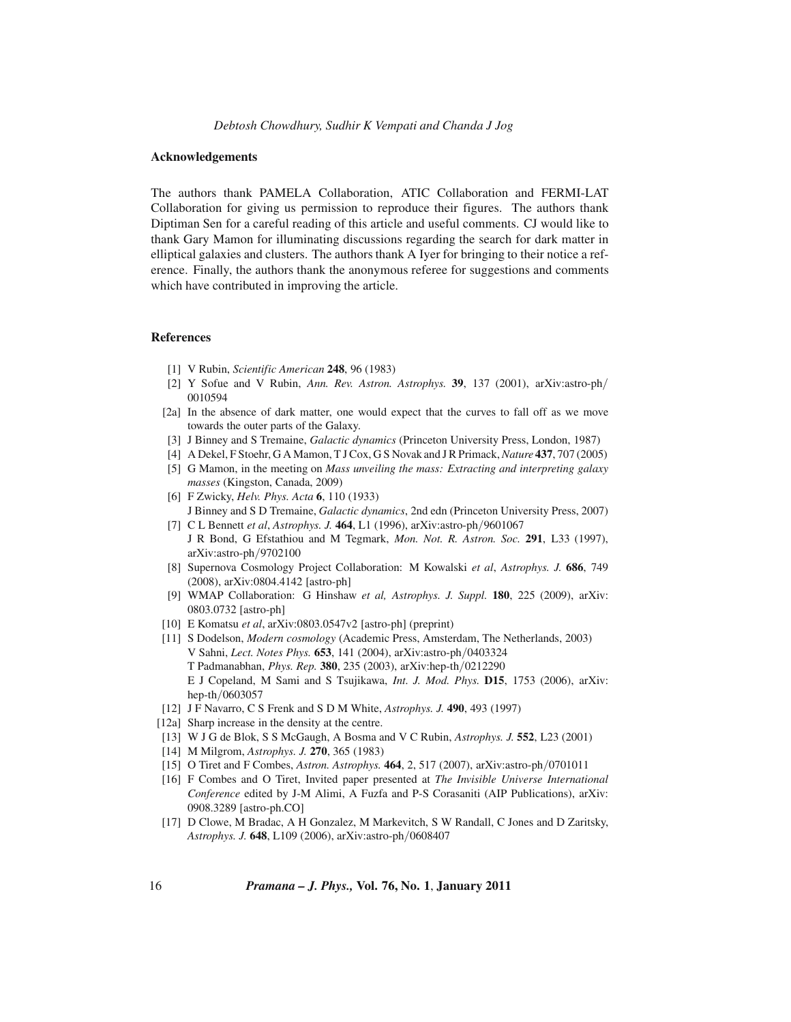### **Acknowledgements**

The authors thank PAMELA Collaboration, ATIC Collaboration and FERMI-LAT Collaboration for giving us permission to reproduce their figures. The authors thank Diptiman Sen for a careful reading of this article and useful comments. CJ would like to thank Gary Mamon for illuminating discussions regarding the search for dark matter in elliptical galaxies and clusters. The authors thank A Iyer for bringing to their notice a reference. Finally, the authors thank the anonymous referee for suggestions and comments which have contributed in improving the article.

#### **References**

- [1] V Rubin, *Scientific American* **248**, 96 (1983)
- [2] Y Sofue and V Rubin, *Ann. Rev. Astron. Astrophys.* **39**, 137 (2001), arXiv:astro-ph/ 0010594
- [2a] In the absence of dark matter, one would expect that the curves to fall off as we move towards the outer parts of the Galaxy.
- [3] J Binney and S Tremaine, *Galactic dynamics* (Princeton University Press, London, 1987)
- [4] A Dekel, F Stoehr, G A Mamon, T J Cox, G S Novak and J R Primack, *Nature* **437**, 707 (2005)
- [5] G Mamon, in the meeting on *Mass unveiling the mass: Extracting and interpreting galaxy masses* (Kingston, Canada, 2009)
- [6] F Zwicky, *Helv. Phys. Acta* **6**, 110 (1933) J Binney and S D Tremaine, *Galactic dynamics*, 2nd edn (Princeton University Press, 2007)
- [7] C L Bennett *et al*, *Astrophys. J.* **464**, L1 (1996), arXiv:astro-ph/9601067 J R Bond, G Efstathiou and M Tegmark, *Mon. Not. R. Astron. Soc.* **291**, L33 (1997), arXiv:astro-ph/9702100
- [8] Supernova Cosmology Project Collaboration: M Kowalski *et al*, *Astrophys. J.* **686**, 749 (2008), arXiv:0804.4142 [astro-ph]
- [9] WMAP Collaboration: G Hinshaw *et al, Astrophys. J. Suppl.* **180**, 225 (2009), arXiv: 0803.0732 [astro-ph]
- [10] E Komatsu *et al*, arXiv:0803.0547v2 [astro-ph] (preprint)
- [11] S Dodelson, *Modern cosmology* (Academic Press, Amsterdam, The Netherlands, 2003) V Sahni, *Lect. Notes Phys.* **653**, 141 (2004), arXiv:astro-ph/0403324 T Padmanabhan, *Phys. Rep.* **380**, 235 (2003), arXiv:hep-th/0212290 E J Copeland, M Sami and S Tsujikawa, *Int. J. Mod. Phys.* **D15**, 1753 (2006), arXiv: hep-th/0603057
- [12] J F Navarro, C S Frenk and S D M White, *Astrophys. J.* **490**, 493 (1997)
- [12a] Sharp increase in the density at the centre.
- [13] W J G de Blok, S S McGaugh, A Bosma and V C Rubin, *Astrophys. J.* **552**, L23 (2001)
- [14] M Milgrom, *Astrophys. J.* **270**, 365 (1983)
- [15] O Tiret and F Combes, *Astron. Astrophys.* **464**, 2, 517 (2007), arXiv:astro-ph/0701011
- [16] F Combes and O Tiret, Invited paper presented at *The Invisible Universe International Conference* edited by J-M Alimi, A Fuzfa and P-S Corasaniti (AIP Publications), arXiv: 0908.3289 [astro-ph.CO]
- [17] D Clowe, M Bradac, A H Gonzalez, M Markevitch, S W Randall, C Jones and D Zaritsky, *Astrophys. J.* **648**, L109 (2006), arXiv:astro-ph/0608407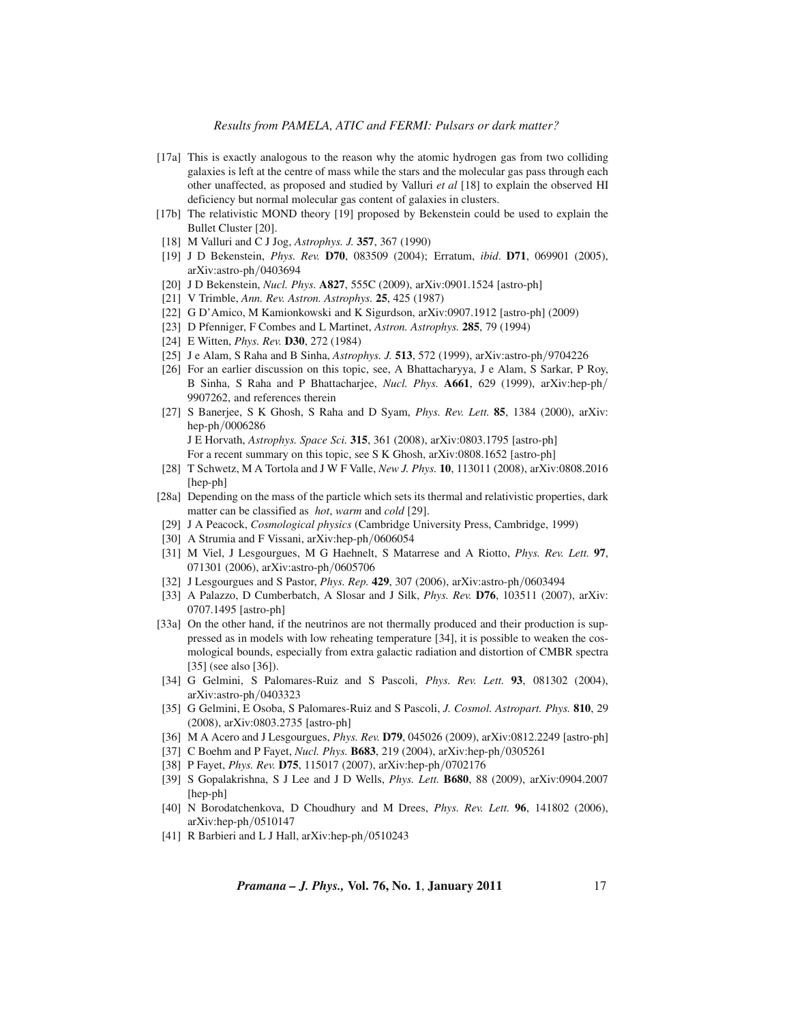- [17a] This is exactly analogous to the reason why the atomic hydrogen gas from two colliding galaxies is left at the centre of mass while the stars and the molecular gas pass through each other unaffected, as proposed and studied by Valluri *et al* [18] to explain the observed HI deficiency but normal molecular gas content of galaxies in clusters.
- [17b] The relativistic MOND theory [19] proposed by Bekenstein could be used to explain the Bullet Cluster [20].
- [18] M Valluri and C J Jog, *Astrophys. J.* **357**, 367 (1990)
- [19] J D Bekenstein, *Phys. Rev.* **D70**, 083509 (2004); Erratum, *ibid*. **D71**, 069901 (2005), arXiv:astro-ph/0403694
- [20] J D Bekenstein, *Nucl. Phys.* **A827**, 555C (2009), arXiv:0901.1524 [astro-ph]
- [21] V Trimble, *Ann. Rev. Astron. Astrophys.* **25**, 425 (1987)
- [22] G D'Amico, M Kamionkowski and K Sigurdson, arXiv:0907.1912 [astro-ph] (2009)
- [23] D Pfenniger, F Combes and L Martinet, *Astron. Astrophys.* **285**, 79 (1994)
- [24] E Witten, *Phys. Rev.* **D30**, 272 (1984)
- [25] J e Alam, S Raha and B Sinha, *Astrophys. J.* **513**, 572 (1999), arXiv:astro-ph/9704226
- [26] For an earlier discussion on this topic, see, A Bhattacharyya, J e Alam, S Sarkar, P Roy, B Sinha, S Raha and P Bhattacharjee, *Nucl. Phys.* **A661**, 629 (1999), arXiv:hep-ph/ 9907262, and references therein
- [27] S Banerjee, S K Ghosh, S Raha and D Syam, *Phys. Rev. Lett.* **85**, 1384 (2000), arXiv: hep-ph/0006286 J E Horvath, *Astrophys. Space Sci.* **315**, 361 (2008), arXiv:0803.1795 [astro-ph] For a recent summary on this topic, see S K Ghosh, arXiv:0808.1652 [astro-ph]
- [28] T Schwetz, M A Tortola and J W F Valle, *New J. Phys.* **10**, 113011 (2008), arXiv:0808.2016 [hep-ph]
- [28a] Depending on the mass of the particle which sets its thermal and relativistic properties, dark matter can be classified as *hot*, *warm* and *cold* [29].
- [29] J A Peacock, *Cosmological physics* (Cambridge University Press, Cambridge, 1999)
- [30] A Strumia and F Vissani, arXiv:hep-ph/0606054
- [31] M Viel, J Lesgourgues, M G Haehnelt, S Matarrese and A Riotto, *Phys. Rev. Lett.* **97**, 071301 (2006), arXiv:astro-ph/0605706
- [32] J Lesgourgues and S Pastor, *Phys. Rep.* **429**, 307 (2006), arXiv:astro-ph/0603494
- [33] A Palazzo, D Cumberbatch, A Slosar and J Silk, *Phys. Rev.* **D76**, 103511 (2007), arXiv: 0707.1495 [astro-ph]
- [33a] On the other hand, if the neutrinos are not thermally produced and their production is suppressed as in models with low reheating temperature [34], it is possible to weaken the cosmological bounds, especially from extra galactic radiation and distortion of CMBR spectra [35] (see also [36]).
- [34] G Gelmini, S Palomares-Ruiz and S Pascoli, *Phys. Rev. Lett.* **93**, 081302 (2004), arXiv:astro-ph/0403323
- [35] G Gelmini, E Osoba, S Palomares-Ruiz and S Pascoli, *J. Cosmol. Astropart. Phys.* **810**, 29 (2008), arXiv:0803.2735 [astro-ph]
- [36] M A Acero and J Lesgourgues, *Phys. Rev.* **D79**, 045026 (2009), arXiv:0812.2249 [astro-ph]
- [37] C Boehm and P Fayet, *Nucl. Phys.* **B683**, 219 (2004), arXiv:hep-ph/0305261
- [38] P Fayet, *Phys. Rev.* **D75**, 115017 (2007), arXiv:hep-ph/0702176
- [39] S Gopalakrishna, S J Lee and J D Wells, *Phys. Lett.* **B680**, 88 (2009), arXiv:0904.2007 [hep-ph]
- [40] N Borodatchenkova, D Choudhury and M Drees, *Phys. Rev. Lett.* **96**, 141802 (2006), arXiv:hep-ph/0510147
- [41] R Barbieri and L J Hall, arXiv:hep-ph/0510243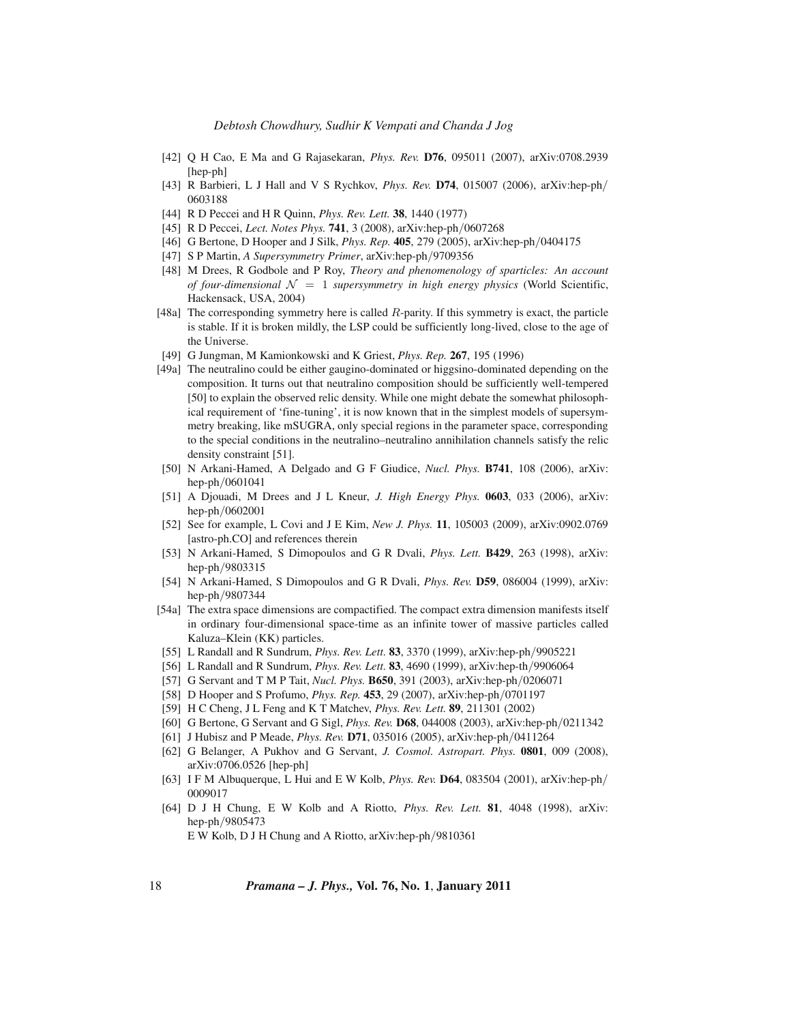- [42] Q H Cao, E Ma and G Rajasekaran, *Phys. Rev.* **D76**, 095011 (2007), arXiv:0708.2939 [hep-ph]
- [43] R Barbieri, L J Hall and V S Rychkov, *Phys. Rev.* **D74**, 015007 (2006), arXiv:hep-ph/ 0603188
- [44] R D Peccei and H R Quinn, *Phys. Rev. Lett.* **38**, 1440 (1977)
- [45] R D Peccei, *Lect. Notes Phys.* **741**, 3 (2008), arXiv:hep-ph/0607268
- [46] G Bertone, D Hooper and J Silk, *Phys. Rep.* **405**, 279 (2005), arXiv:hep-ph/0404175
- [47] S P Martin, *A Supersymmetry Primer*, arXiv:hep-ph/9709356
- [48] M Drees, R Godbole and P Roy, *Theory and phenomenology of sparticles: An account of four-dimensional*  $\mathcal{N} = 1$  *supersymmetry in high energy physics* (World Scientific, Hackensack, USA, 2004)
- [48a] The corresponding symmetry here is called R-parity. If this symmetry is exact, the particle is stable. If it is broken mildly, the LSP could be sufficiently long-lived, close to the age of the Universe.
- [49] G Jungman, M Kamionkowski and K Griest, *Phys. Rep.* **267**, 195 (1996)
- [49a] The neutralino could be either gaugino-dominated or higgsino-dominated depending on the composition. It turns out that neutralino composition should be sufficiently well-tempered [50] to explain the observed relic density. While one might debate the somewhat philosophical requirement of 'fine-tuning', it is now known that in the simplest models of supersymmetry breaking, like mSUGRA, only special regions in the parameter space, corresponding to the special conditions in the neutralino–neutralino annihilation channels satisfy the relic density constraint [51].
- [50] N Arkani-Hamed, A Delgado and G F Giudice, *Nucl. Phys.* **B741**, 108 (2006), arXiv: hep-ph/0601041
- [51] A Djouadi, M Drees and J L Kneur, *J. High Energy Phys.* **0603**, 033 (2006), arXiv: hep-ph/0602001
- [52] See for example, L Covi and J E Kim, *New J. Phys.* **11**, 105003 (2009), arXiv:0902.0769 [astro-ph.CO] and references therein
- [53] N Arkani-Hamed, S Dimopoulos and G R Dvali, *Phys. Lett.* **B429**, 263 (1998), arXiv: hep-ph/9803315
- [54] N Arkani-Hamed, S Dimopoulos and G R Dvali, *Phys. Rev.* **D59**, 086004 (1999), arXiv: hep-ph/9807344
- [54a] The extra space dimensions are compactified. The compact extra dimension manifests itself in ordinary four-dimensional space-time as an infinite tower of massive particles called Kaluza–Klein (KK) particles.
- [55] L Randall and R Sundrum, *Phys. Rev. Lett.* **83**, 3370 (1999), arXiv:hep-ph/9905221
- [56] L Randall and R Sundrum, *Phys. Rev. Lett.* **83**, 4690 (1999), arXiv:hep-th/9906064
- [57] G Servant and T M P Tait, *Nucl. Phys.* **B650**, 391 (2003), arXiv:hep-ph/0206071
- [58] D Hooper and S Profumo, *Phys. Rep.* **453**, 29 (2007), arXiv:hep-ph/0701197
- [59] H C Cheng, J L Feng and K T Matchev, *Phys. Rev. Lett.* **89**, 211301 (2002)
- [60] G Bertone, G Servant and G Sigl, *Phys. Rev.* **D68**, 044008 (2003), arXiv:hep-ph/0211342
- [61] J Hubisz and P Meade, *Phys. Rev.* **D71**, 035016 (2005), arXiv:hep-ph/0411264
- [62] G Belanger, A Pukhov and G Servant, *J. Cosmol. Astropart. Phys.* **0801**, 009 (2008), arXiv:0706.0526 [hep-ph]
- [63] I F M Albuquerque, L Hui and E W Kolb, *Phys. Rev.* **D64**, 083504 (2001), arXiv:hep-ph/ 0009017
- [64] D J H Chung, E W Kolb and A Riotto, *Phys. Rev. Lett.* **81**, 4048 (1998), arXiv: hep-ph/9805473

E W Kolb, D J H Chung and A Riotto, arXiv:hep-ph/9810361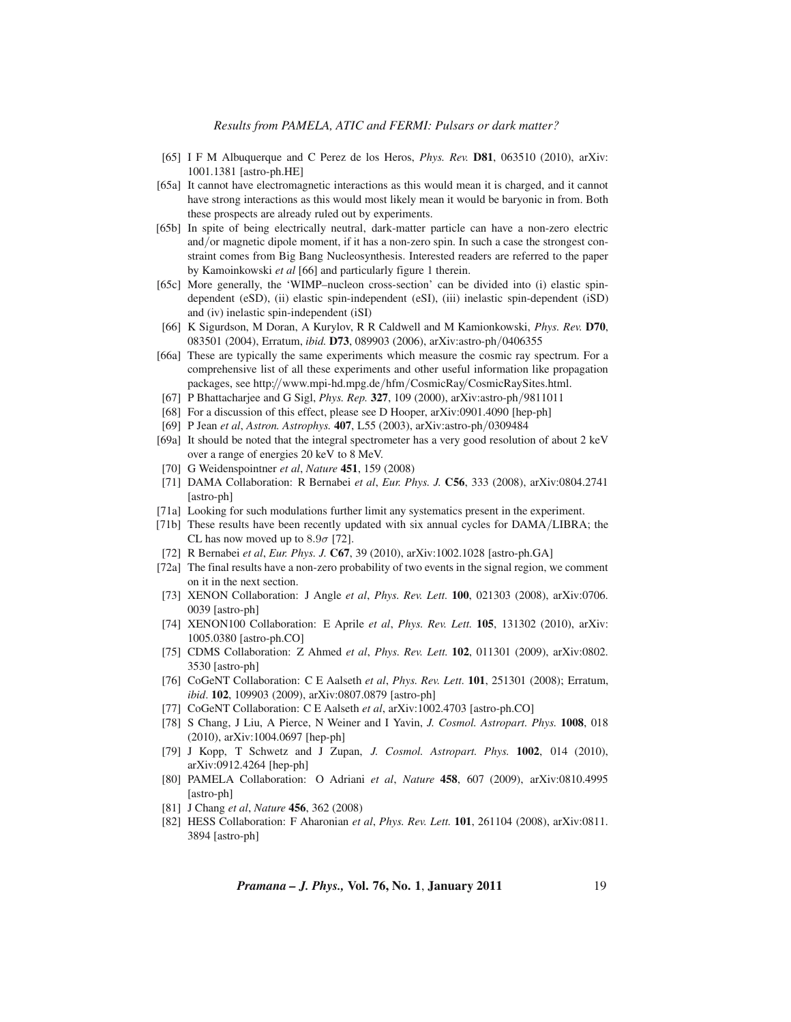- [65] I F M Albuquerque and C Perez de los Heros, *Phys. Rev.* **D81**, 063510 (2010), arXiv: 1001.1381 [astro-ph.HE]
- [65a] It cannot have electromagnetic interactions as this would mean it is charged, and it cannot have strong interactions as this would most likely mean it would be baryonic in from. Both these prospects are already ruled out by experiments.
- [65b] In spite of being electrically neutral, dark-matter particle can have a non-zero electric and/or magnetic dipole moment, if it has a non-zero spin. In such a case the strongest constraint comes from Big Bang Nucleosynthesis. Interested readers are referred to the paper by Kamoinkowski *et al* [66] and particularly figure 1 therein.
- [65c] More generally, the 'WIMP–nucleon cross-section' can be divided into (i) elastic spindependent (eSD), (ii) elastic spin-independent (eSI), (iii) inelastic spin-dependent (iSD) and (iv) inelastic spin-independent (iSI)
- [66] K Sigurdson, M Doran, A Kurylov, R R Caldwell and M Kamionkowski, *Phys. Rev.* **D70**, 083501 (2004), Erratum, *ibid.* **D73**, 089903 (2006), arXiv:astro-ph/0406355
- [66a] These are typically the same experiments which measure the cosmic ray spectrum. For a comprehensive list of all these experiments and other useful information like propagation packages, see http://www.mpi-hd.mpg.de/hfm/CosmicRay/CosmicRaySites.html.
- [67] P Bhattacharjee and G Sigl, *Phys. Rep.* **327**, 109 (2000), arXiv:astro-ph/9811011
- [68] For a discussion of this effect, please see D Hooper, arXiv:0901.4090 [hep-ph]
- [69] P Jean *et al*, *Astron. Astrophys.* **407**, L55 (2003), arXiv:astro-ph/0309484
- [69a] It should be noted that the integral spectrometer has a very good resolution of about 2 keV over a range of energies 20 keV to 8 MeV.
- [70] G Weidenspointner *et al*, *Nature* **451**, 159 (2008)
- [71] DAMA Collaboration: R Bernabei *et al*, *Eur. Phys. J.* **C56**, 333 (2008), arXiv:0804.2741 [astro-ph]
- [71a] Looking for such modulations further limit any systematics present in the experiment.
- [71b] These results have been recently updated with six annual cycles for DAMA/LIBRA; the CL has now moved up to  $8.9\sigma$  [72].
- [72] R Bernabei *et al*, *Eur. Phys. J.* **C67**, 39 (2010), arXiv:1002.1028 [astro-ph.GA]
- [72a] The final results have a non-zero probability of two events in the signal region, we comment on it in the next section.
- [73] XENON Collaboration: J Angle *et al*, *Phys. Rev. Lett.* **100**, 021303 (2008), arXiv:0706. 0039 [astro-ph]
- [74] XENON100 Collaboration: E Aprile *et al*, *Phys. Rev. Lett.* **105**, 131302 (2010), arXiv: 1005.0380 [astro-ph.CO]
- [75] CDMS Collaboration: Z Ahmed *et al*, *Phys. Rev. Lett.* **102**, 011301 (2009), arXiv:0802. 3530 [astro-ph]
- [76] CoGeNT Collaboration: C E Aalseth *et al*, *Phys. Rev. Lett.* **101**, 251301 (2008); Erratum, *ibid*. **102**, 109903 (2009), arXiv:0807.0879 [astro-ph]
- [77] CoGeNT Collaboration: C E Aalseth *et al*, arXiv:1002.4703 [astro-ph.CO]
- [78] S Chang, J Liu, A Pierce, N Weiner and I Yavin, *J. Cosmol. Astropart. Phys.* **1008**, 018 (2010), arXiv:1004.0697 [hep-ph]
- [79] J Kopp, T Schwetz and J Zupan, *J. Cosmol. Astropart. Phys.* **1002**, 014 (2010), arXiv:0912.4264 [hep-ph]
- [80] PAMELA Collaboration: O Adriani *et al*, *Nature* **458**, 607 (2009), arXiv:0810.4995 [astro-ph]
- [81] J Chang *et al*, *Nature* **456**, 362 (2008)
- [82] HESS Collaboration: F Aharonian *et al*, *Phys. Rev. Lett.* **101**, 261104 (2008), arXiv:0811. 3894 [astro-ph]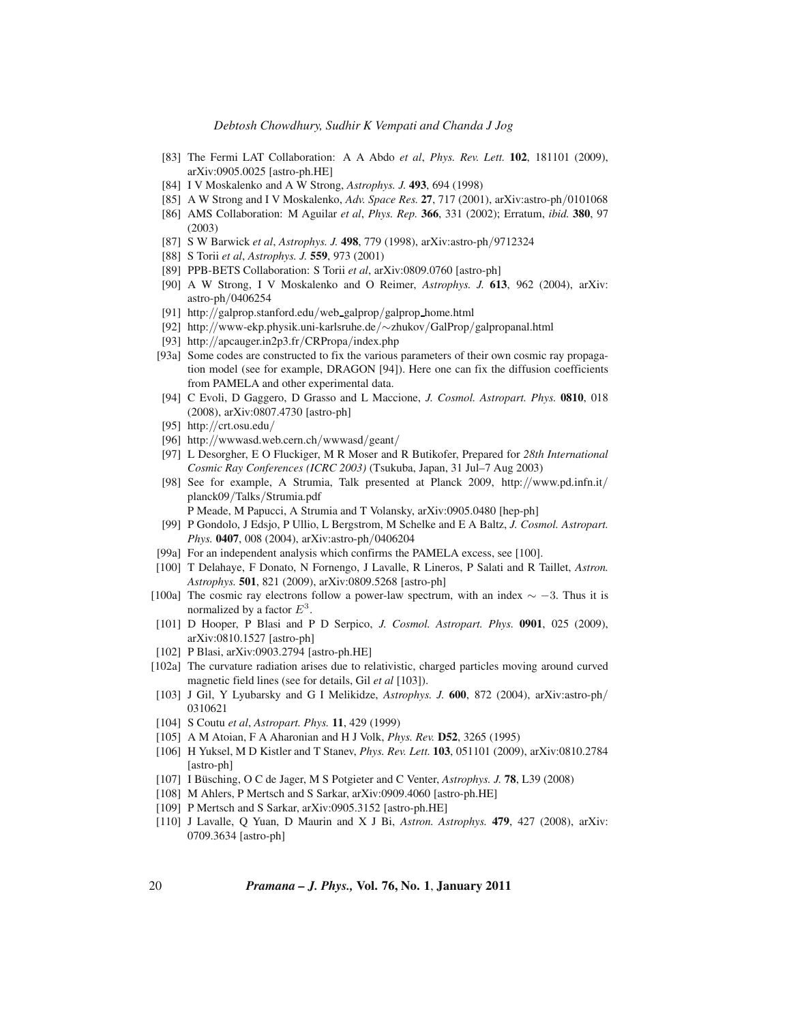- [83] The Fermi LAT Collaboration: A A Abdo *et al*, *Phys. Rev. Lett.* **102**, 181101 (2009), arXiv:0905.0025 [astro-ph.HE]
- [84] I V Moskalenko and A W Strong, *Astrophys. J.* **493**, 694 (1998)
- [85] A W Strong and I V Moskalenko, *Adv. Space Res.* **27**, 717 (2001), arXiv:astro-ph/0101068
- [86] AMS Collaboration: M Aguilar *et al*, *Phys. Rep.* **366**, 331 (2002); Erratum, *ibid.* **380**, 97 (2003)
- [87] S W Barwick *et al*, *Astrophys. J.* **498**, 779 (1998), arXiv:astro-ph/9712324
- [88] S Torii *et al*, *Astrophys. J.* **559**, 973 (2001)
- [89] PPB-BETS Collaboration: S Torii *et al*, arXiv:0809.0760 [astro-ph]
- [90] A W Strong, I V Moskalenko and O Reimer, *Astrophys. J.* **613**, 962 (2004), arXiv: astro-ph/0406254
- [91] http://galprop.stanford.edu/web galprop/galprop home.html
- [92] http://www-ekp.physik.uni-karlsruhe.de/∼zhukov/GalProp/galpropanal.html
- [93] http://apcauger.in2p3.fr/CRPropa/index.php
- [93a] Some codes are constructed to fix the various parameters of their own cosmic ray propagation model (see for example, DRAGON [94]). Here one can fix the diffusion coefficients from PAMELA and other experimental data.
- [94] C Evoli, D Gaggero, D Grasso and L Maccione, *J. Cosmol. Astropart. Phys.* **0810**, 018 (2008), arXiv:0807.4730 [astro-ph]
- [95] http://crt.osu.edu/
- [96] http://wwwasd.web.cern.ch/wwwasd/geant/
- [97] L Desorgher, E O Fluckiger, M R Moser and R Butikofer, Prepared for *28th International Cosmic Ray Conferences (ICRC 2003)* (Tsukuba, Japan, 31 Jul–7 Aug 2003)
- [98] See for example, A Strumia, Talk presented at Planck 2009, http://www.pd.infn.it/ planck09/Talks/Strumia.pdf
	- P Meade, M Papucci, A Strumia and T Volansky, arXiv:0905.0480 [hep-ph]
- [99] P Gondolo, J Edsjo, P Ullio, L Bergstrom, M Schelke and E A Baltz, *J. Cosmol. Astropart. Phys.* **0407**, 008 (2004), arXiv:astro-ph/0406204
- [99a] For an independent analysis which confirms the PAMELA excess, see [100].
- [100] T Delahaye, F Donato, N Fornengo, J Lavalle, R Lineros, P Salati and R Taillet, *Astron. Astrophys.* **501**, 821 (2009), arXiv:0809.5268 [astro-ph]
- [100a] The cosmic ray electrons follow a power-law spectrum, with an index  $\sim -3$ . Thus it is normalized by a factor  $E^3$ .
- [101] D Hooper, P Blasi and P D Serpico, *J. Cosmol. Astropart. Phys.* **0901**, 025 (2009), arXiv:0810.1527 [astro-ph]
- [102] P Blasi, arXiv:0903.2794 [astro-ph.HE]
- [102a] The curvature radiation arises due to relativistic, charged particles moving around curved magnetic field lines (see for details, Gil *et al* [103]).
- [103] J Gil, Y Lyubarsky and G I Melikidze, *Astrophys. J.* **600**, 872 (2004), arXiv:astro-ph/ 0310621
- [104] S Coutu *et al*, *Astropart. Phys.* **11**, 429 (1999)
- [105] A M Atoian, F A Aharonian and H J Volk, *Phys. Rev.* **D52**, 3265 (1995)
- [106] H Yuksel, M D Kistler and T Stanev, *Phys. Rev. Lett.* **103**, 051101 (2009), arXiv:0810.2784 [astro-ph]
- [107] I Büsching, O C de Jager, M S Potgieter and C Venter, *Astrophys. J.* **78**, L39 (2008)
- [108] M Ahlers, P Mertsch and S Sarkar, arXiv:0909.4060 [astro-ph.HE]
- [109] P Mertsch and S Sarkar, arXiv:0905.3152 [astro-ph.HE]
- [110] J Lavalle, Q Yuan, D Maurin and X J Bi, *Astron. Astrophys.* **479**, 427 (2008), arXiv: 0709.3634 [astro-ph]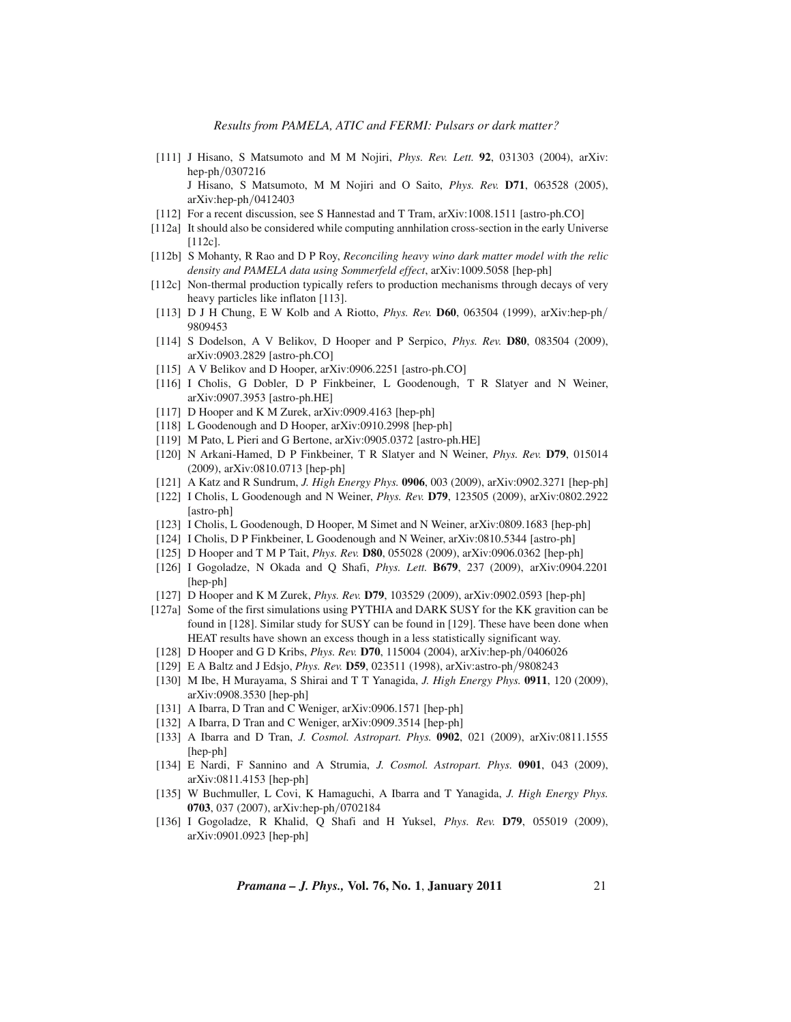[111] J Hisano, S Matsumoto and M M Nojiri, *Phys. Rev. Lett.* **92**, 031303 (2004), arXiv: hep-ph/0307216

J Hisano, S Matsumoto, M M Nojiri and O Saito, *Phys. Rev.* **D71**, 063528 (2005), arXiv:hep-ph/0412403

- [112] For a recent discussion, see S Hannestad and T Tram, arXiv:1008.1511 [astro-ph.CO]
- [112a] It should also be considered while computing annhilation cross-section in the early Universe [112c].
- [112b] S Mohanty, R Rao and D P Roy, *Reconciling heavy wino dark matter model with the relic density and PAMELA data using Sommerfeld effect*, arXiv:1009.5058 [hep-ph]
- [112c] Non-thermal production typically refers to production mechanisms through decays of very heavy particles like inflaton [113].
- [113] D J H Chung, E W Kolb and A Riotto, *Phys. Rev.* **D60**, 063504 (1999), arXiv:hep-ph/ 9809453
- [114] S Dodelson, A V Belikov, D Hooper and P Serpico, *Phys. Rev.* **D80**, 083504 (2009), arXiv:0903.2829 [astro-ph.CO]
- [115] A V Belikov and D Hooper, arXiv:0906.2251 [astro-ph.CO]
- [116] I Cholis, G Dobler, D P Finkbeiner, L Goodenough, T R Slatyer and N Weiner, arXiv:0907.3953 [astro-ph.HE]
- [117] D Hooper and K M Zurek, arXiv:0909.4163 [hep-ph]
- [118] L Goodenough and D Hooper, arXiv:0910.2998 [hep-ph]
- [119] M Pato, L Pieri and G Bertone, arXiv:0905.0372 [astro-ph.HE]
- [120] N Arkani-Hamed, D P Finkbeiner, T R Slatyer and N Weiner, *Phys. Rev.* **D79**, 015014 (2009), arXiv:0810.0713 [hep-ph]
- [121] A Katz and R Sundrum, *J. High Energy Phys.* **0906**, 003 (2009), arXiv:0902.3271 [hep-ph]
- [122] I Cholis, L Goodenough and N Weiner, *Phys. Rev.* **D79**, 123505 (2009), arXiv:0802.2922 [astro-ph]
- [123] I Cholis, L Goodenough, D Hooper, M Simet and N Weiner, arXiv:0809.1683 [hep-ph]
- [124] I Cholis, D P Finkbeiner, L Goodenough and N Weiner, arXiv:0810.5344 [astro-ph]
- [125] D Hooper and T M P Tait, *Phys. Rev.* **D80**, 055028 (2009), arXiv:0906.0362 [hep-ph]
- [126] I Gogoladze, N Okada and Q Shafi, *Phys. Lett.* **B679**, 237 (2009), arXiv:0904.2201 [hep-ph]
- [127] D Hooper and K M Zurek, *Phys. Rev.* **D79**, 103529 (2009), arXiv:0902.0593 [hep-ph]
- [127a] Some of the first simulations using PYTHIA and DARK SUSY for the KK gravition can be found in [128]. Similar study for SUSY can be found in [129]. These have been done when HEAT results have shown an excess though in a less statistically significant way.
- [128] D Hooper and G D Kribs, *Phys. Rev.* **D70**, 115004 (2004), arXiv:hep-ph/0406026
- [129] E A Baltz and J Edsjo, *Phys. Rev.* **D59**, 023511 (1998), arXiv:astro-ph/9808243
- [130] M Ibe, H Murayama, S Shirai and T T Yanagida, *J. High Energy Phys.* **0911**, 120 (2009), arXiv:0908.3530 [hep-ph]
- [131] A Ibarra, D Tran and C Weniger, arXiv:0906.1571 [hep-ph]
- [132] A Ibarra, D Tran and C Weniger, arXiv:0909.3514 [hep-ph]
- [133] A Ibarra and D Tran, *J. Cosmol. Astropart. Phys.* **0902**, 021 (2009), arXiv:0811.1555 [hep-ph]
- [134] E Nardi, F Sannino and A Strumia, *J. Cosmol. Astropart. Phys.* **0901**, 043 (2009), arXiv:0811.4153 [hep-ph]
- [135] W Buchmuller, L Covi, K Hamaguchi, A Ibarra and T Yanagida, *J. High Energy Phys.* **0703**, 037 (2007), arXiv:hep-ph/0702184
- [136] I Gogoladze, R Khalid, Q Shafi and H Yuksel, *Phys. Rev.* **D79**, 055019 (2009), arXiv:0901.0923 [hep-ph]